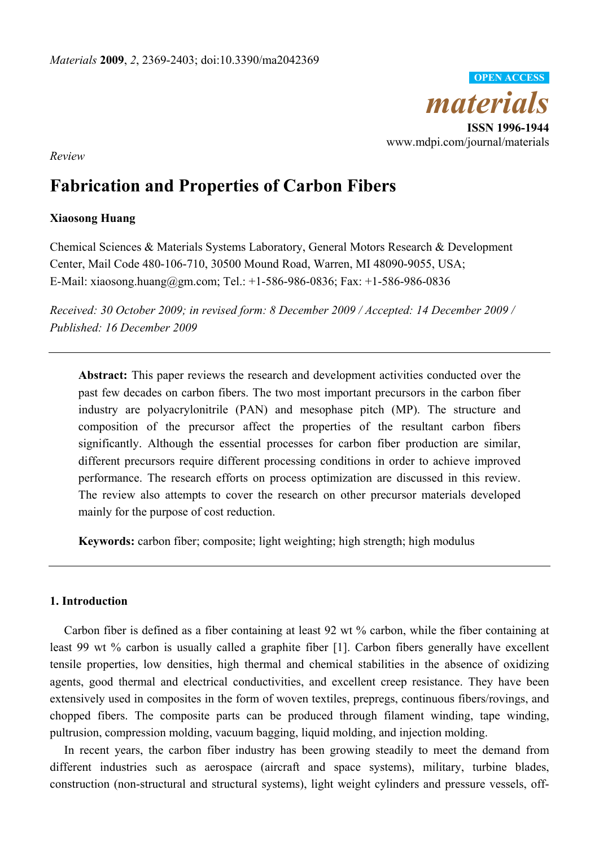

*Review* 

# **Fabrication and Properties of Carbon Fibers**

# **Xiaosong Huang**

Chemical Sciences & Materials Systems Laboratory, General Motors Research & Development Center, Mail Code 480-106-710, 30500 Mound Road, Warren, MI 48090-9055, USA; E-Mail: xiaosong.huang@gm.com; Tel.: +1-586-986-0836; Fax: +1-586-986-0836

*Received: 30 October 2009; in revised form: 8 December 2009 / Accepted: 14 December 2009 / Published: 16 December 2009* 

**Abstract:** This paper reviews the research and development activities conducted over the past few decades on carbon fibers. The two most important precursors in the carbon fiber industry are polyacrylonitrile (PAN) and mesophase pitch (MP). The structure and composition of the precursor affect the properties of the resultant carbon fibers significantly. Although the essential processes for carbon fiber production are similar, different precursors require different processing conditions in order to achieve improved performance. The research efforts on process optimization are discussed in this review. The review also attempts to cover the research on other precursor materials developed mainly for the purpose of cost reduction.

**Keywords:** carbon fiber; composite; light weighting; high strength; high modulus

# **1. Introduction**

Carbon fiber is defined as a fiber containing at least 92 wt % carbon, while the fiber containing at least 99 wt % carbon is usually called a graphite fiber [1]. Carbon fibers generally have excellent tensile properties, low densities, high thermal and chemical stabilities in the absence of oxidizing agents, good thermal and electrical conductivities, and excellent creep resistance. They have been extensively used in composites in the form of woven textiles, prepregs, continuous fibers/rovings, and chopped fibers. The composite parts can be produced through filament winding, tape winding, pultrusion, compression molding, vacuum bagging, liquid molding, and injection molding.

In recent years, the carbon fiber industry has been growing steadily to meet the demand from different industries such as aerospace (aircraft and space systems), military, turbine blades, construction (non-structural and structural systems), light weight cylinders and pressure vessels, off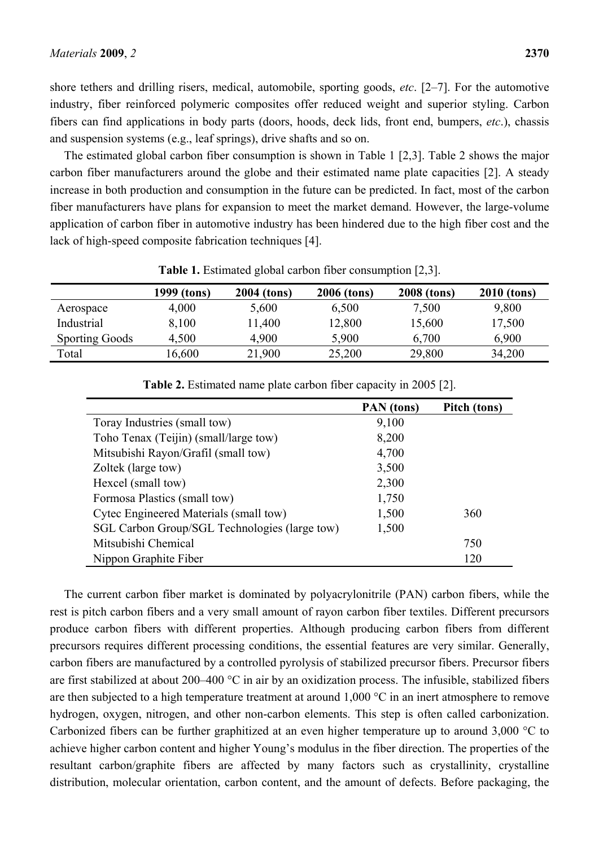shore tethers and drilling risers, medical, automobile, sporting goods, *etc*. [2–7]. For the automotive industry, fiber reinforced polymeric composites offer reduced weight and superior styling. Carbon fibers can find applications in body parts (doors, hoods, deck lids, front end, bumpers, *etc*.), chassis and suspension systems (e.g., leaf springs), drive shafts and so on.

The estimated global carbon fiber consumption is shown in Table 1 [2,3]. Table 2 shows the major carbon fiber manufacturers around the globe and their estimated name plate capacities [2]. A steady increase in both production and consumption in the future can be predicted. In fact, most of the carbon fiber manufacturers have plans for expansion to meet the market demand. However, the large-volume application of carbon fiber in automotive industry has been hindered due to the high fiber cost and the lack of high-speed composite fabrication techniques [4].

| <b>Twore</b> 1. Estimated grown early from consumption $\vert z, z \vert$ . |             |             |                    |                    |                    |
|-----------------------------------------------------------------------------|-------------|-------------|--------------------|--------------------|--------------------|
|                                                                             | 1999 (tons) | 2004 (tons) | <b>2006 (tons)</b> | <b>2008</b> (tons) | <b>2010 (tons)</b> |
| Aerospace                                                                   | 4,000       | 5,600       | 6,500              | 7,500              | 9,800              |
| Industrial                                                                  | 8,100       | 11,400      | 12,800             | 15,600             | 17,500             |
| <b>Sporting Goods</b>                                                       | 4,500       | 4,900       | 5,900              | 6,700              | 6,900              |
| Total                                                                       | 16,600      | 21,900      | 25,200             | 29,800             | 34,200             |

**Table 1.** Estimated global carbon fiber consumption [2,3].

|                                               | PAN (tons) | Pitch (tons) |
|-----------------------------------------------|------------|--------------|
| Toray Industries (small tow)                  | 9,100      |              |
| Toho Tenax (Teijin) (small/large tow)         | 8,200      |              |
| Mitsubishi Rayon/Grafil (small tow)           | 4,700      |              |
| Zoltek (large tow)                            | 3,500      |              |
| Hexcel (small tow)                            | 2,300      |              |
| Formosa Plastics (small tow)                  | 1,750      |              |
| Cytec Engineered Materials (small tow)        | 1,500      | 360          |
| SGL Carbon Group/SGL Technologies (large tow) | 1,500      |              |
| Mitsubishi Chemical                           |            | 750          |
| Nippon Graphite Fiber                         |            | 120          |

**Table 2.** Estimated name plate carbon fiber capacity in 2005 [2].

The current carbon fiber market is dominated by polyacrylonitrile (PAN) carbon fibers, while the rest is pitch carbon fibers and a very small amount of rayon carbon fiber textiles. Different precursors produce carbon fibers with different properties. Although producing carbon fibers from different precursors requires different processing conditions, the essential features are very similar. Generally, carbon fibers are manufactured by a controlled pyrolysis of stabilized precursor fibers. Precursor fibers are first stabilized at about 200–400 °C in air by an oxidization process. The infusible, stabilized fibers are then subjected to a high temperature treatment at around 1,000 °C in an inert atmosphere to remove hydrogen, oxygen, nitrogen, and other non-carbon elements. This step is often called carbonization. Carbonized fibers can be further graphitized at an even higher temperature up to around 3,000 °C to achieve higher carbon content and higher Young's modulus in the fiber direction. The properties of the resultant carbon/graphite fibers are affected by many factors such as crystallinity, crystalline distribution, molecular orientation, carbon content, and the amount of defects. Before packaging, the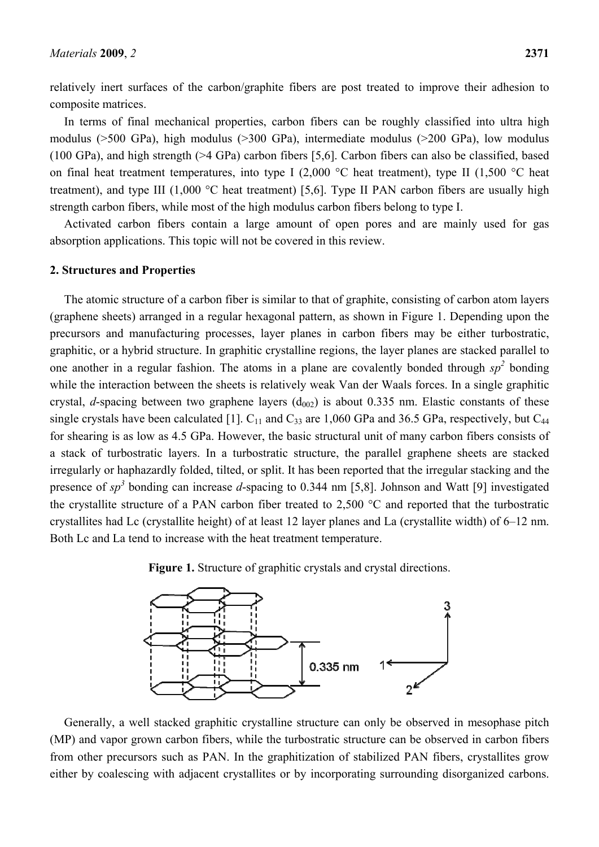relatively inert surfaces of the carbon/graphite fibers are post treated to improve their adhesion to composite matrices.

In terms of final mechanical properties, carbon fibers can be roughly classified into ultra high modulus (>500 GPa), high modulus (>300 GPa), intermediate modulus (>200 GPa), low modulus (100 GPa), and high strength (>4 GPa) carbon fibers [5,6]. Carbon fibers can also be classified, based on final heat treatment temperatures, into type I (2,000 °C heat treatment), type II (1,500 °C heat treatment), and type III (1,000  $\degree$ C heat treatment) [5,6]. Type II PAN carbon fibers are usually high strength carbon fibers, while most of the high modulus carbon fibers belong to type I.

Activated carbon fibers contain a large amount of open pores and are mainly used for gas absorption applications. This topic will not be covered in this review.

### **2. Structures and Properties**

The atomic structure of a carbon fiber is similar to that of graphite, consisting of carbon atom layers (graphene sheets) arranged in a regular hexagonal pattern, as shown in Figure 1. Depending upon the precursors and manufacturing processes, layer planes in carbon fibers may be either turbostratic, graphitic, or a hybrid structure. In graphitic crystalline regions, the layer planes are stacked parallel to one another in a regular fashion. The atoms in a plane are covalently bonded through  $sp^2$  bonding while the interaction between the sheets is relatively weak Van der Waals forces. In a single graphitic crystal, *d*-spacing between two graphene layers  $(d_{002})$  is about 0.335 nm. Elastic constants of these single crystals have been calculated [1].  $C_{11}$  and  $C_{33}$  are 1,060 GPa and 36.5 GPa, respectively, but  $C_{44}$ for shearing is as low as 4.5 GPa. However, the basic structural unit of many carbon fibers consists of a stack of turbostratic layers. In a turbostratic structure, the parallel graphene sheets are stacked irregularly or haphazardly folded, tilted, or split. It has been reported that the irregular stacking and the presence of  $sp^3$  bonding can increase *d*-spacing to 0.344 nm [5,8]. Johnson and Watt [9] investigated the crystallite structure of a PAN carbon fiber treated to 2,500 °C and reported that the turbostratic crystallites had Lc (crystallite height) of at least 12 layer planes and La (crystallite width) of 6–12 nm. Both Lc and La tend to increase with the heat treatment temperature.



**Figure 1.** Structure of graphitic crystals and crystal directions.

Generally, a well stacked graphitic crystalline structure can only be observed in mesophase pitch (MP) and vapor grown carbon fibers, while the turbostratic structure can be observed in carbon fibers from other precursors such as PAN. In the graphitization of stabilized PAN fibers, crystallites grow either by coalescing with adjacent crystallites or by incorporating surrounding disorganized carbons.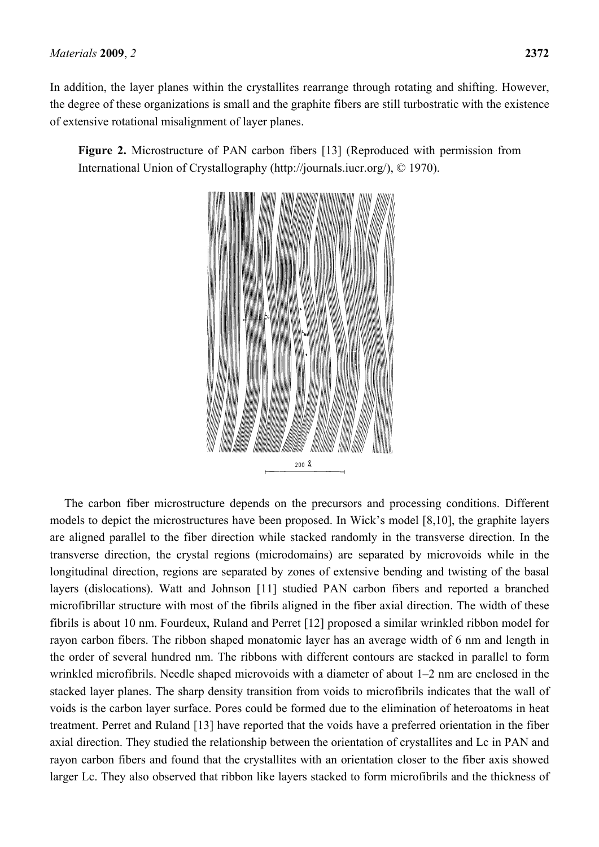In addition, the layer planes within the crystallites rearrange through rotating and shifting. However, the degree of these organizations is small and the graphite fibers are still turbostratic with the existence of extensive rotational misalignment of layer planes.

**Figure 2.** Microstructure of PAN carbon fibers [13] (Reproduced with permission from International Union of Crystallography (http://journals.iucr.org/), © 1970).



The carbon fiber microstructure depends on the precursors and processing conditions. Different models to depict the microstructures have been proposed. In Wick's model [8,10], the graphite layers are aligned parallel to the fiber direction while stacked randomly in the transverse direction. In the transverse direction, the crystal regions (microdomains) are separated by microvoids while in the longitudinal direction, regions are separated by zones of extensive bending and twisting of the basal layers (dislocations). Watt and Johnson [11] studied PAN carbon fibers and reported a branched microfibrillar structure with most of the fibrils aligned in the fiber axial direction. The width of these fibrils is about 10 nm. Fourdeux, Ruland and Perret [12] proposed a similar wrinkled ribbon model for rayon carbon fibers. The ribbon shaped monatomic layer has an average width of 6 nm and length in the order of several hundred nm. The ribbons with different contours are stacked in parallel to form wrinkled microfibrils. Needle shaped microvoids with a diameter of about 1–2 nm are enclosed in the stacked layer planes. The sharp density transition from voids to microfibrils indicates that the wall of voids is the carbon layer surface. Pores could be formed due to the elimination of heteroatoms in heat treatment. Perret and Ruland [13] have reported that the voids have a preferred orientation in the fiber axial direction. They studied the relationship between the orientation of crystallites and Lc in PAN and rayon carbon fibers and found that the crystallites with an orientation closer to the fiber axis showed larger Lc. They also observed that ribbon like layers stacked to form microfibrils and the thickness of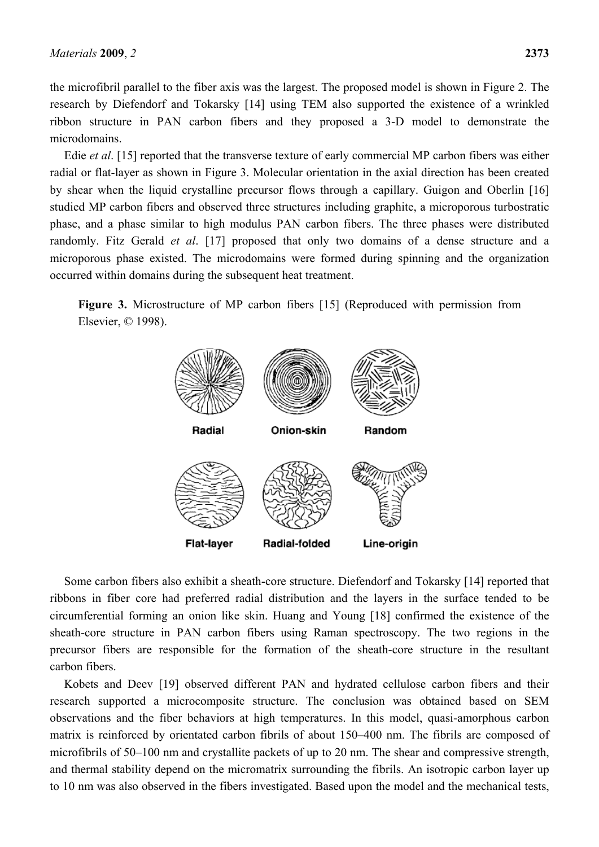the microfibril parallel to the fiber axis was the largest. The proposed model is shown in Figure 2. The research by Diefendorf and Tokarsky [14] using TEM also supported the existence of a wrinkled ribbon structure in PAN carbon fibers and they proposed a 3-D model to demonstrate the microdomains.

Edie *et al*. [15] reported that the transverse texture of early commercial MP carbon fibers was either radial or flat-layer as shown in Figure 3. Molecular orientation in the axial direction has been created by shear when the liquid crystalline precursor flows through a capillary. Guigon and Oberlin [16] studied MP carbon fibers and observed three structures including graphite, a microporous turbostratic phase, and a phase similar to high modulus PAN carbon fibers. The three phases were distributed randomly. Fitz Gerald *et al*. [17] proposed that only two domains of a dense structure and a microporous phase existed. The microdomains were formed during spinning and the organization occurred within domains during the subsequent heat treatment.

**Figure 3.** Microstructure of MP carbon fibers [15] (Reproduced with permission from Elsevier, © 1998).



Some carbon fibers also exhibit a sheath-core structure. Diefendorf and Tokarsky [14] reported that ribbons in fiber core had preferred radial distribution and the layers in the surface tended to be circumferential forming an onion like skin. Huang and Young [18] confirmed the existence of the sheath-core structure in PAN carbon fibers using Raman spectroscopy. The two regions in the precursor fibers are responsible for the formation of the sheath-core structure in the resultant carbon fibers.

Kobets and Deev [19] observed different PAN and hydrated cellulose carbon fibers and their research supported a microcomposite structure. The conclusion was obtained based on SEM observations and the fiber behaviors at high temperatures. In this model, quasi-amorphous carbon matrix is reinforced by orientated carbon fibrils of about 150–400 nm. The fibrils are composed of microfibrils of 50–100 nm and crystallite packets of up to 20 nm. The shear and compressive strength, and thermal stability depend on the micromatrix surrounding the fibrils. An isotropic carbon layer up to 10 nm was also observed in the fibers investigated. Based upon the model and the mechanical tests,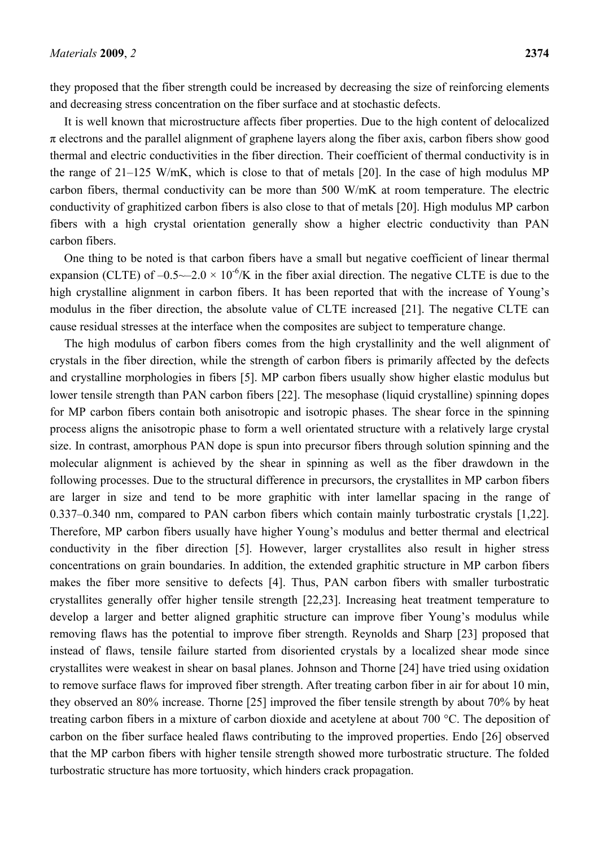they proposed that the fiber strength could be increased by decreasing the size of reinforcing elements and decreasing stress concentration on the fiber surface and at stochastic defects.

It is well known that microstructure affects fiber properties. Due to the high content of delocalized  $\pi$  electrons and the parallel alignment of graphene layers along the fiber axis, carbon fibers show good thermal and electric conductivities in the fiber direction. Their coefficient of thermal conductivity is in the range of 21–125 W/mK, which is close to that of metals [20]. In the case of high modulus MP carbon fibers, thermal conductivity can be more than 500 W/mK at room temperature. The electric conductivity of graphitized carbon fibers is also close to that of metals [20]. High modulus MP carbon fibers with a high crystal orientation generally show a higher electric conductivity than PAN carbon fibers.

One thing to be noted is that carbon fibers have a small but negative coefficient of linear thermal expansion (CLTE) of  $-0.5\sim 2.0 \times 10^{-6}$ /K in the fiber axial direction. The negative CLTE is due to the high crystalline alignment in carbon fibers. It has been reported that with the increase of Young's modulus in the fiber direction, the absolute value of CLTE increased [21]. The negative CLTE can cause residual stresses at the interface when the composites are subject to temperature change.

The high modulus of carbon fibers comes from the high crystallinity and the well alignment of crystals in the fiber direction, while the strength of carbon fibers is primarily affected by the defects and crystalline morphologies in fibers [5]. MP carbon fibers usually show higher elastic modulus but lower tensile strength than PAN carbon fibers [22]. The mesophase (liquid crystalline) spinning dopes for MP carbon fibers contain both anisotropic and isotropic phases. The shear force in the spinning process aligns the anisotropic phase to form a well orientated structure with a relatively large crystal size. In contrast, amorphous PAN dope is spun into precursor fibers through solution spinning and the molecular alignment is achieved by the shear in spinning as well as the fiber drawdown in the following processes. Due to the structural difference in precursors, the crystallites in MP carbon fibers are larger in size and tend to be more graphitic with inter lamellar spacing in the range of 0.337–0.340 nm, compared to PAN carbon fibers which contain mainly turbostratic crystals [1,22]. Therefore, MP carbon fibers usually have higher Young's modulus and better thermal and electrical conductivity in the fiber direction [5]. However, larger crystallites also result in higher stress concentrations on grain boundaries. In addition, the extended graphitic structure in MP carbon fibers makes the fiber more sensitive to defects [4]. Thus, PAN carbon fibers with smaller turbostratic crystallites generally offer higher tensile strength [22,23]. Increasing heat treatment temperature to develop a larger and better aligned graphitic structure can improve fiber Young's modulus while removing flaws has the potential to improve fiber strength. Reynolds and Sharp [23] proposed that instead of flaws, tensile failure started from disoriented crystals by a localized shear mode since crystallites were weakest in shear on basal planes. Johnson and Thorne [24] have tried using oxidation to remove surface flaws for improved fiber strength. After treating carbon fiber in air for about 10 min, they observed an 80% increase. Thorne [25] improved the fiber tensile strength by about 70% by heat treating carbon fibers in a mixture of carbon dioxide and acetylene at about 700 °C. The deposition of carbon on the fiber surface healed flaws contributing to the improved properties. Endo [26] observed that the MP carbon fibers with higher tensile strength showed more turbostratic structure. The folded turbostratic structure has more tortuosity, which hinders crack propagation.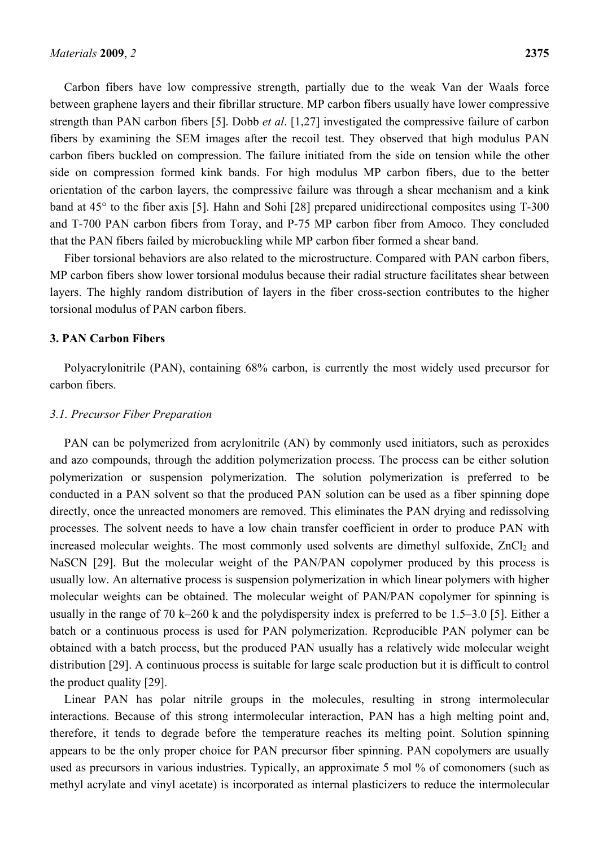Carbon fibers have low compressive strength, partially due to the weak Van der Waals force between graphene layers and their fibrillar structure. MP carbon fibers usually have lower compressive strength than PAN carbon fibers [5]. Dobb *et al*. [1,27] investigated the compressive failure of carbon fibers by examining the SEM images after the recoil test. They observed that high modulus PAN carbon fibers buckled on compression. The failure initiated from the side on tension while the other side on compression formed kink bands. For high modulus MP carbon fibers, due to the better orientation of the carbon layers, the compressive failure was through a shear mechanism and a kink band at 45° to the fiber axis [5]. Hahn and Sohi [28] prepared unidirectional composites using T-300 and T-700 PAN carbon fibers from Toray, and P-75 MP carbon fiber from Amoco. They concluded that the PAN fibers failed by microbuckling while MP carbon fiber formed a shear band.

Fiber torsional behaviors are also related to the microstructure. Compared with PAN carbon fibers, MP carbon fibers show lower torsional modulus because their radial structure facilitates shear between layers. The highly random distribution of layers in the fiber cross-section contributes to the higher torsional modulus of PAN carbon fibers.

# **3. PAN Carbon Fibers**

Polyacrylonitrile (PAN), containing 68% carbon, is currently the most widely used precursor for carbon fibers.

# *3.1. Precursor Fiber Preparation*

PAN can be polymerized from acrylonitrile (AN) by commonly used initiators, such as peroxides and azo compounds, through the addition polymerization process. The process can be either solution polymerization or suspension polymerization. The solution polymerization is preferred to be conducted in a PAN solvent so that the produced PAN solution can be used as a fiber spinning dope directly, once the unreacted monomers are removed. This eliminates the PAN drying and redissolving processes. The solvent needs to have a low chain transfer coefficient in order to produce PAN with increased molecular weights. The most commonly used solvents are dimethyl sulfoxide,  $ZnCl<sub>2</sub>$  and NaSCN [29]. But the molecular weight of the PAN/PAN copolymer produced by this process is usually low. An alternative process is suspension polymerization in which linear polymers with higher molecular weights can be obtained. The molecular weight of PAN/PAN copolymer for spinning is usually in the range of 70 k–260 k and the polydispersity index is preferred to be 1.5–3.0 [5]. Either a batch or a continuous process is used for PAN polymerization. Reproducible PAN polymer can be obtained with a batch process, but the produced PAN usually has a relatively wide molecular weight distribution [29]. A continuous process is suitable for large scale production but it is difficult to control the product quality [29].

Linear PAN has polar nitrile groups in the molecules, resulting in strong intermolecular interactions. Because of this strong intermolecular interaction, PAN has a high melting point and, therefore, it tends to degrade before the temperature reaches its melting point. Solution spinning appears to be the only proper choice for PAN precursor fiber spinning. PAN copolymers are usually used as precursors in various industries. Typically, an approximate 5 mol % of comonomers (such as methyl acrylate and vinyl acetate) is incorporated as internal plasticizers to reduce the intermolecular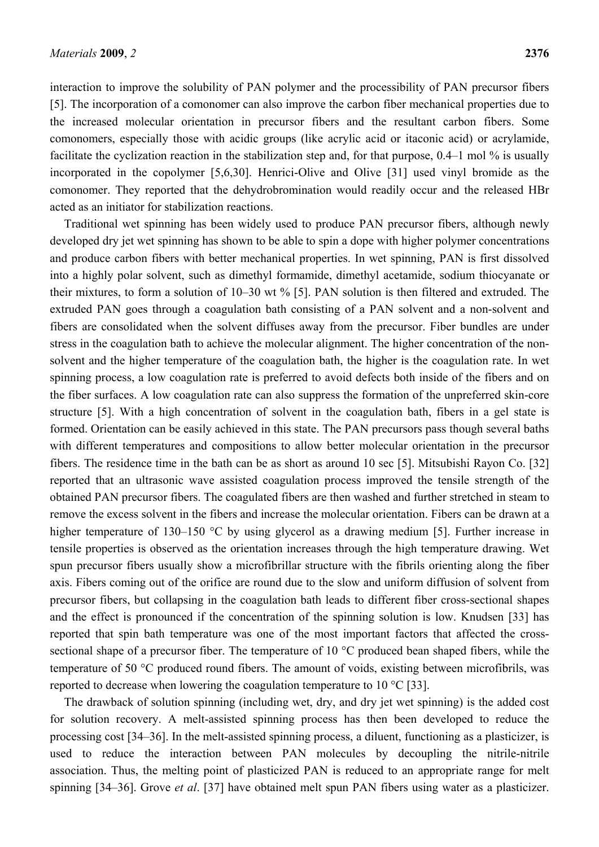interaction to improve the solubility of PAN polymer and the processibility of PAN precursor fibers [5]. The incorporation of a comonomer can also improve the carbon fiber mechanical properties due to the increased molecular orientation in precursor fibers and the resultant carbon fibers. Some comonomers, especially those with acidic groups (like acrylic acid or itaconic acid) or acrylamide, facilitate the cyclization reaction in the stabilization step and, for that purpose, 0.4–1 mol % is usually incorporated in the copolymer [5,6,30]. Henrici-Olive and Olive [31] used vinyl bromide as the comonomer. They reported that the dehydrobromination would readily occur and the released HBr acted as an initiator for stabilization reactions.

Traditional wet spinning has been widely used to produce PAN precursor fibers, although newly developed dry jet wet spinning has shown to be able to spin a dope with higher polymer concentrations and produce carbon fibers with better mechanical properties. In wet spinning, PAN is first dissolved into a highly polar solvent, such as dimethyl formamide, dimethyl acetamide, sodium thiocyanate or their mixtures, to form a solution of 10–30 wt % [5]. PAN solution is then filtered and extruded. The extruded PAN goes through a coagulation bath consisting of a PAN solvent and a non-solvent and fibers are consolidated when the solvent diffuses away from the precursor. Fiber bundles are under stress in the coagulation bath to achieve the molecular alignment. The higher concentration of the nonsolvent and the higher temperature of the coagulation bath, the higher is the coagulation rate. In wet spinning process, a low coagulation rate is preferred to avoid defects both inside of the fibers and on the fiber surfaces. A low coagulation rate can also suppress the formation of the unpreferred skin-core structure [5]. With a high concentration of solvent in the coagulation bath, fibers in a gel state is formed. Orientation can be easily achieved in this state. The PAN precursors pass though several baths with different temperatures and compositions to allow better molecular orientation in the precursor fibers. The residence time in the bath can be as short as around 10 sec [5]. Mitsubishi Rayon Co. [32] reported that an ultrasonic wave assisted coagulation process improved the tensile strength of the obtained PAN precursor fibers. The coagulated fibers are then washed and further stretched in steam to remove the excess solvent in the fibers and increase the molecular orientation. Fibers can be drawn at a higher temperature of 130–150 °C by using glycerol as a drawing medium [5]. Further increase in tensile properties is observed as the orientation increases through the high temperature drawing. Wet spun precursor fibers usually show a microfibrillar structure with the fibrils orienting along the fiber axis. Fibers coming out of the orifice are round due to the slow and uniform diffusion of solvent from precursor fibers, but collapsing in the coagulation bath leads to different fiber cross-sectional shapes and the effect is pronounced if the concentration of the spinning solution is low. Knudsen [33] has reported that spin bath temperature was one of the most important factors that affected the crosssectional shape of a precursor fiber. The temperature of 10 °C produced bean shaped fibers, while the temperature of 50 °C produced round fibers. The amount of voids, existing between microfibrils, was reported to decrease when lowering the coagulation temperature to 10 °C [33].

The drawback of solution spinning (including wet, dry, and dry jet wet spinning) is the added cost for solution recovery. A melt-assisted spinning process has then been developed to reduce the processing cost [34–36]. In the melt-assisted spinning process, a diluent, functioning as a plasticizer, is used to reduce the interaction between PAN molecules by decoupling the nitrile-nitrile association. Thus, the melting point of plasticized PAN is reduced to an appropriate range for melt spinning [34–36]. Grove *et al*. [37] have obtained melt spun PAN fibers using water as a plasticizer.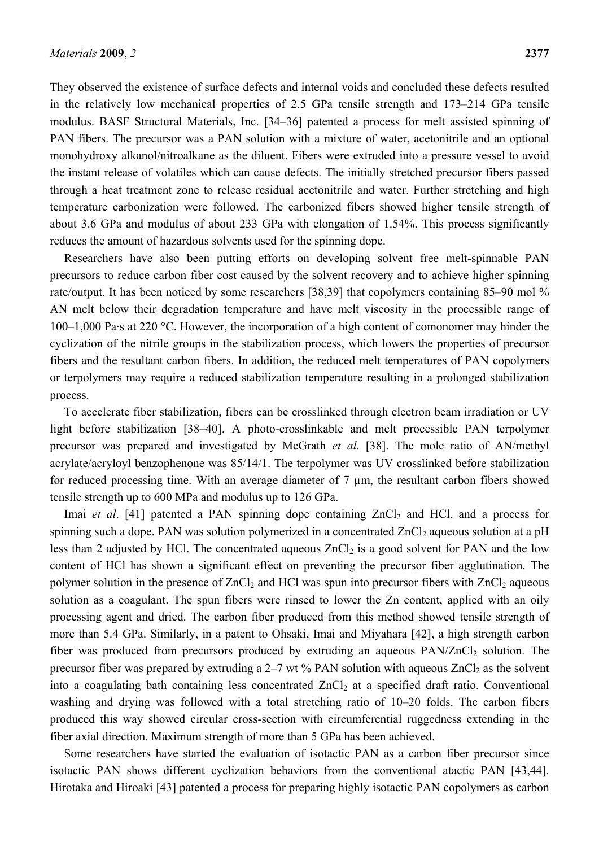They observed the existence of surface defects and internal voids and concluded these defects resulted in the relatively low mechanical properties of 2.5 GPa tensile strength and 173–214 GPa tensile modulus. BASF Structural Materials, Inc. [34–36] patented a process for melt assisted spinning of PAN fibers. The precursor was a PAN solution with a mixture of water, acetonitrile and an optional monohydroxy alkanol/nitroalkane as the diluent. Fibers were extruded into a pressure vessel to avoid the instant release of volatiles which can cause defects. The initially stretched precursor fibers passed through a heat treatment zone to release residual acetonitrile and water. Further stretching and high temperature carbonization were followed. The carbonized fibers showed higher tensile strength of about 3.6 GPa and modulus of about 233 GPa with elongation of 1.54%. This process significantly reduces the amount of hazardous solvents used for the spinning dope.

Researchers have also been putting efforts on developing solvent free melt-spinnable PAN precursors to reduce carbon fiber cost caused by the solvent recovery and to achieve higher spinning rate/output. It has been noticed by some researchers [38,39] that copolymers containing 85–90 mol % AN melt below their degradation temperature and have melt viscosity in the processible range of 100–1,000 Pa·s at 220 °C. However, the incorporation of a high content of comonomer may hinder the cyclization of the nitrile groups in the stabilization process, which lowers the properties of precursor fibers and the resultant carbon fibers. In addition, the reduced melt temperatures of PAN copolymers or terpolymers may require a reduced stabilization temperature resulting in a prolonged stabilization process.

To accelerate fiber stabilization, fibers can be crosslinked through electron beam irradiation or UV light before stabilization [38–40]. A photo-crosslinkable and melt processible PAN terpolymer precursor was prepared and investigated by McGrath *et al*. [38]. The mole ratio of AN/methyl acrylate/acryloyl benzophenone was 85/14/1. The terpolymer was UV crosslinked before stabilization for reduced processing time. With an average diameter of 7 µm, the resultant carbon fibers showed tensile strength up to 600 MPa and modulus up to 126 GPa.

Imai *et al.* [41] patented a PAN spinning dope containing ZnCl<sub>2</sub> and HCl, and a process for spinning such a dope. PAN was solution polymerized in a concentrated  $ZnCl<sub>2</sub>$  aqueous solution at a pH less than 2 adjusted by HCl. The concentrated aqueous  $ZnCl<sub>2</sub>$  is a good solvent for PAN and the low content of HCl has shown a significant effect on preventing the precursor fiber agglutination. The polymer solution in the presence of  $ZnCl<sub>2</sub>$  and HCl was spun into precursor fibers with  $ZnCl<sub>2</sub>$  aqueous solution as a coagulant. The spun fibers were rinsed to lower the Zn content, applied with an oily processing agent and dried. The carbon fiber produced from this method showed tensile strength of more than 5.4 GPa. Similarly, in a patent to Ohsaki, Imai and Miyahara [42], a high strength carbon fiber was produced from precursors produced by extruding an aqueous  $PAN/ZnCl<sub>2</sub>$  solution. The precursor fiber was prepared by extruding a  $2-7$  wt % PAN solution with aqueous ZnCl<sub>2</sub> as the solvent into a coagulating bath containing less concentrated  $ZnCl<sub>2</sub>$  at a specified draft ratio. Conventional washing and drying was followed with a total stretching ratio of 10–20 folds. The carbon fibers produced this way showed circular cross-section with circumferential ruggedness extending in the fiber axial direction. Maximum strength of more than 5 GPa has been achieved.

Some researchers have started the evaluation of isotactic PAN as a carbon fiber precursor since isotactic PAN shows different cyclization behaviors from the conventional atactic PAN [43,44]. Hirotaka and Hiroaki [43] patented a process for preparing highly isotactic PAN copolymers as carbon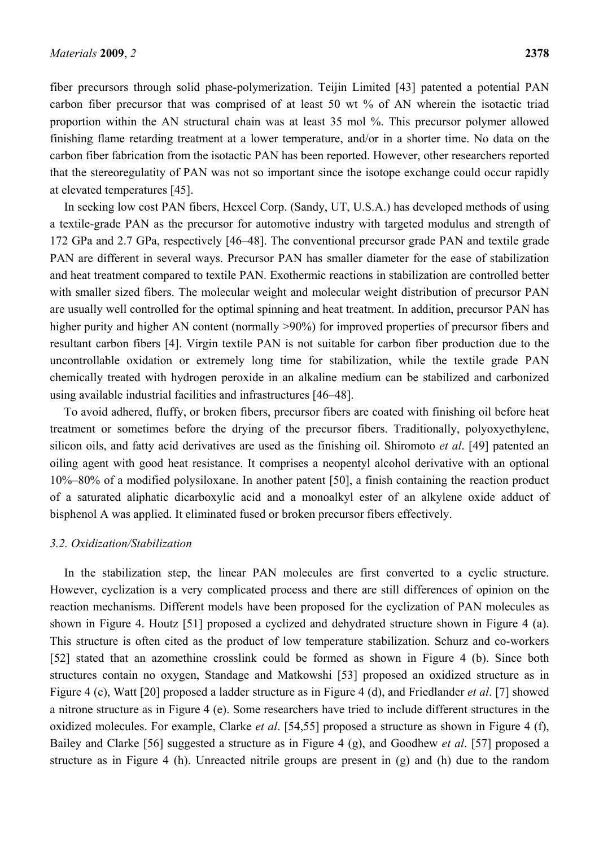fiber precursors through solid phase-polymerization. Teijin Limited [43] patented a potential PAN carbon fiber precursor that was comprised of at least 50 wt % of AN wherein the isotactic triad proportion within the AN structural chain was at least 35 mol %. This precursor polymer allowed finishing flame retarding treatment at a lower temperature, and/or in a shorter time. No data on the carbon fiber fabrication from the isotactic PAN has been reported. However, other researchers reported that the stereoregulatity of PAN was not so important since the isotope exchange could occur rapidly at elevated temperatures [45].

In seeking low cost PAN fibers, Hexcel Corp. (Sandy, UT, U.S.A.) has developed methods of using a textile-grade PAN as the precursor for automotive industry with targeted modulus and strength of 172 GPa and 2.7 GPa, respectively [46–48]. The conventional precursor grade PAN and textile grade PAN are different in several ways. Precursor PAN has smaller diameter for the ease of stabilization and heat treatment compared to textile PAN. Exothermic reactions in stabilization are controlled better with smaller sized fibers. The molecular weight and molecular weight distribution of precursor PAN are usually well controlled for the optimal spinning and heat treatment. In addition, precursor PAN has higher purity and higher AN content (normally  $>90\%$ ) for improved properties of precursor fibers and resultant carbon fibers [4]. Virgin textile PAN is not suitable for carbon fiber production due to the uncontrollable oxidation or extremely long time for stabilization, while the textile grade PAN chemically treated with hydrogen peroxide in an alkaline medium can be stabilized and carbonized using available industrial facilities and infrastructures [46–48].

To avoid adhered, fluffy, or broken fibers, precursor fibers are coated with finishing oil before heat treatment or sometimes before the drying of the precursor fibers. Traditionally, polyoxyethylene, silicon oils, and fatty acid derivatives are used as the finishing oil. Shiromoto *et al*. [49] patented an oiling agent with good heat resistance. It comprises a neopentyl alcohol derivative with an optional 10%–80% of a modified polysiloxane. In another patent [50], a finish containing the reaction product of a saturated aliphatic dicarboxylic acid and a monoalkyl ester of an alkylene oxide adduct of bisphenol A was applied. It eliminated fused or broken precursor fibers effectively.

### *3.2. Oxidization/Stabilization*

In the stabilization step, the linear PAN molecules are first converted to a cyclic structure. However, cyclization is a very complicated process and there are still differences of opinion on the reaction mechanisms. Different models have been proposed for the cyclization of PAN molecules as shown in Figure 4. Houtz [51] proposed a cyclized and dehydrated structure shown in Figure 4 (a). This structure is often cited as the product of low temperature stabilization. Schurz and co-workers [52] stated that an azomethine crosslink could be formed as shown in Figure 4 (b). Since both structures contain no oxygen, Standage and Matkowshi [53] proposed an oxidized structure as in Figure 4 (c), Watt [20] proposed a ladder structure as in Figure 4 (d), and Friedlander *et al*. [7] showed a nitrone structure as in Figure 4 (e). Some researchers have tried to include different structures in the oxidized molecules. For example, Clarke *et al*. [54,55] proposed a structure as shown in Figure 4 (f), Bailey and Clarke [56] suggested a structure as in Figure 4 (g), and Goodhew *et al*. [57] proposed a structure as in Figure 4 (h). Unreacted nitrile groups are present in (g) and (h) due to the random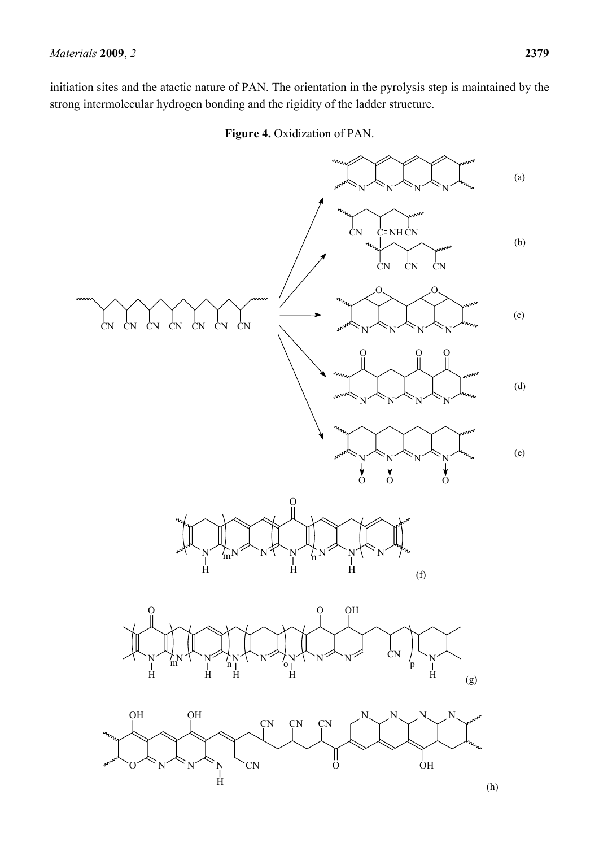

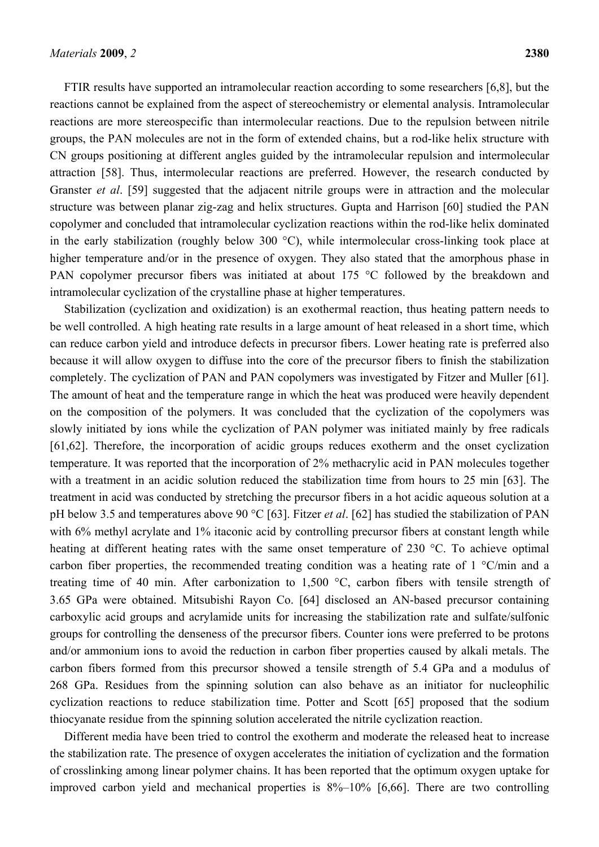FTIR results have supported an intramolecular reaction according to some researchers [6,8], but the reactions cannot be explained from the aspect of stereochemistry or elemental analysis. Intramolecular reactions are more stereospecific than intermolecular reactions. Due to the repulsion between nitrile groups, the PAN molecules are not in the form of extended chains, but a rod-like helix structure with CN groups positioning at different angles guided by the intramolecular repulsion and intermolecular attraction [58]. Thus, intermolecular reactions are preferred. However, the research conducted by Granster *et al*. [59] suggested that the adjacent nitrile groups were in attraction and the molecular structure was between planar zig-zag and helix structures. Gupta and Harrison [60] studied the PAN copolymer and concluded that intramolecular cyclization reactions within the rod-like helix dominated in the early stabilization (roughly below 300 °C), while intermolecular cross-linking took place at higher temperature and/or in the presence of oxygen. They also stated that the amorphous phase in PAN copolymer precursor fibers was initiated at about 175 °C followed by the breakdown and intramolecular cyclization of the crystalline phase at higher temperatures.

Stabilization (cyclization and oxidization) is an exothermal reaction, thus heating pattern needs to be well controlled. A high heating rate results in a large amount of heat released in a short time, which can reduce carbon yield and introduce defects in precursor fibers. Lower heating rate is preferred also because it will allow oxygen to diffuse into the core of the precursor fibers to finish the stabilization completely. The cyclization of PAN and PAN copolymers was investigated by Fitzer and Muller [61]. The amount of heat and the temperature range in which the heat was produced were heavily dependent on the composition of the polymers. It was concluded that the cyclization of the copolymers was slowly initiated by ions while the cyclization of PAN polymer was initiated mainly by free radicals [61,62]. Therefore, the incorporation of acidic groups reduces exotherm and the onset cyclization temperature. It was reported that the incorporation of 2% methacrylic acid in PAN molecules together with a treatment in an acidic solution reduced the stabilization time from hours to 25 min [63]. The treatment in acid was conducted by stretching the precursor fibers in a hot acidic aqueous solution at a pH below 3.5 and temperatures above 90 °C [63]. Fitzer *et al*. [62] has studied the stabilization of PAN with 6% methyl acrylate and 1% itaconic acid by controlling precursor fibers at constant length while heating at different heating rates with the same onset temperature of 230 °C. To achieve optimal carbon fiber properties, the recommended treating condition was a heating rate of 1 °C/min and a treating time of 40 min. After carbonization to 1,500 °C, carbon fibers with tensile strength of 3.65 GPa were obtained. Mitsubishi Rayon Co. [64] disclosed an AN-based precursor containing carboxylic acid groups and acrylamide units for increasing the stabilization rate and sulfate/sulfonic groups for controlling the denseness of the precursor fibers. Counter ions were preferred to be protons and/or ammonium ions to avoid the reduction in carbon fiber properties caused by alkali metals. The carbon fibers formed from this precursor showed a tensile strength of 5.4 GPa and a modulus of 268 GPa. Residues from the spinning solution can also behave as an initiator for nucleophilic cyclization reactions to reduce stabilization time. Potter and Scott [65] proposed that the sodium thiocyanate residue from the spinning solution accelerated the nitrile cyclization reaction.

Different media have been tried to control the exotherm and moderate the released heat to increase the stabilization rate. The presence of oxygen accelerates the initiation of cyclization and the formation of crosslinking among linear polymer chains. It has been reported that the optimum oxygen uptake for improved carbon yield and mechanical properties is 8%–10% [6,66]. There are two controlling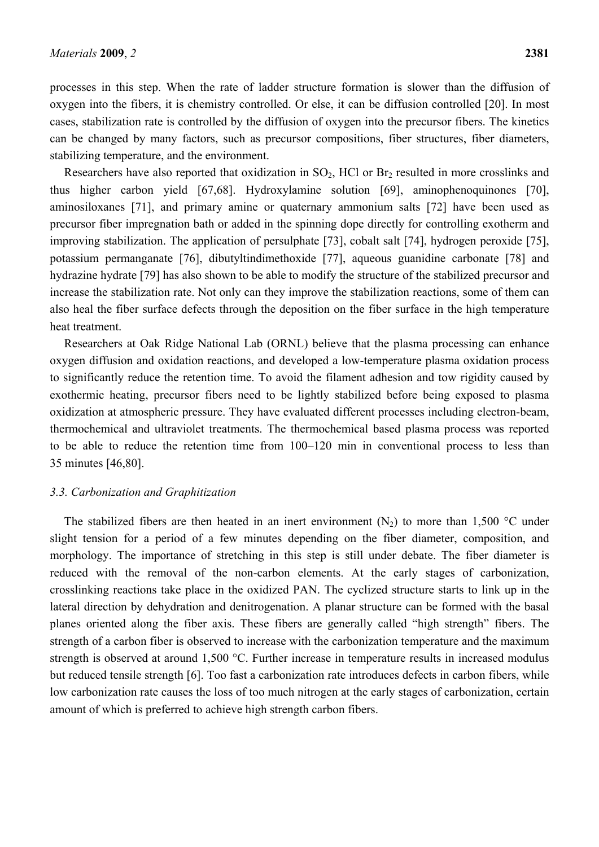processes in this step. When the rate of ladder structure formation is slower than the diffusion of oxygen into the fibers, it is chemistry controlled. Or else, it can be diffusion controlled [20]. In most cases, stabilization rate is controlled by the diffusion of oxygen into the precursor fibers. The kinetics can be changed by many factors, such as precursor compositions, fiber structures, fiber diameters, stabilizing temperature, and the environment.

Researchers have also reported that oxidization in  $SO<sub>2</sub>$ , HCl or Br<sub>2</sub> resulted in more crosslinks and thus higher carbon yield [67,68]. Hydroxylamine solution [69], aminophenoquinones [70], aminosiloxanes [71], and primary amine or quaternary ammonium salts [72] have been used as precursor fiber impregnation bath or added in the spinning dope directly for controlling exotherm and improving stabilization. The application of persulphate [73], cobalt salt [74], hydrogen peroxide [75], potassium permanganate [76], dibutyltindimethoxide [77], aqueous guanidine carbonate [78] and hydrazine hydrate [79] has also shown to be able to modify the structure of the stabilized precursor and increase the stabilization rate. Not only can they improve the stabilization reactions, some of them can also heal the fiber surface defects through the deposition on the fiber surface in the high temperature heat treatment.

Researchers at Oak Ridge National Lab (ORNL) believe that the plasma processing can enhance oxygen diffusion and oxidation reactions, and developed a low-temperature plasma oxidation process to significantly reduce the retention time. To avoid the filament adhesion and tow rigidity caused by exothermic heating, precursor fibers need to be lightly stabilized before being exposed to plasma oxidization at atmospheric pressure. They have evaluated different processes including electron-beam, thermochemical and ultraviolet treatments. The thermochemical based plasma process was reported to be able to reduce the retention time from 100–120 min in conventional process to less than 35 minutes [46,80].

## *3.3. Carbonization and Graphitization*

The stabilized fibers are then heated in an inert environment  $(N_2)$  to more than 1,500 °C under slight tension for a period of a few minutes depending on the fiber diameter, composition, and morphology. The importance of stretching in this step is still under debate. The fiber diameter is reduced with the removal of the non-carbon elements. At the early stages of carbonization, crosslinking reactions take place in the oxidized PAN. The cyclized structure starts to link up in the lateral direction by dehydration and denitrogenation. A planar structure can be formed with the basal planes oriented along the fiber axis. These fibers are generally called "high strength" fibers. The strength of a carbon fiber is observed to increase with the carbonization temperature and the maximum strength is observed at around 1,500 °C. Further increase in temperature results in increased modulus but reduced tensile strength [6]. Too fast a carbonization rate introduces defects in carbon fibers, while low carbonization rate causes the loss of too much nitrogen at the early stages of carbonization, certain amount of which is preferred to achieve high strength carbon fibers.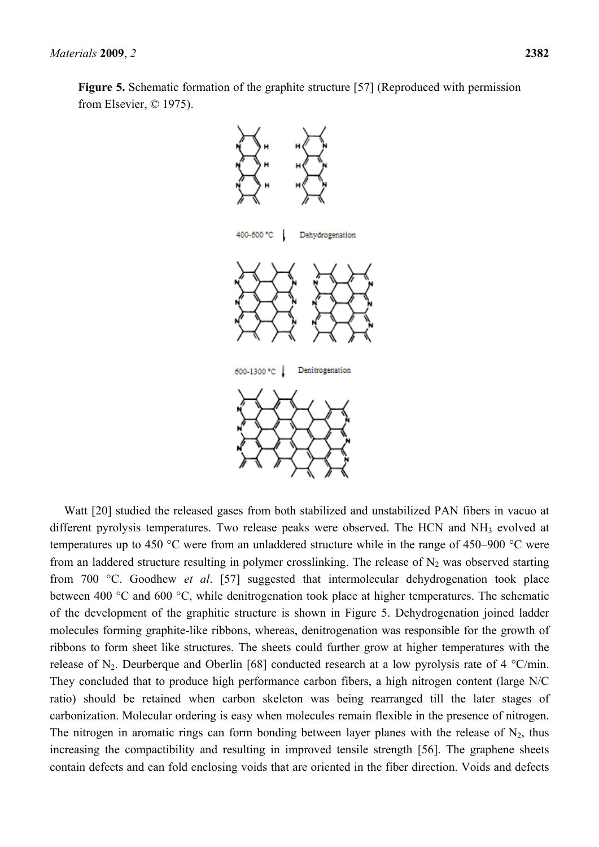**Figure 5.** Schematic formation of the graphite structure [57] (Reproduced with permission from Elsevier, © 1975).



Watt [20] studied the released gases from both stabilized and unstabilized PAN fibers in vacuo at different pyrolysis temperatures. Two release peaks were observed. The HCN and  $NH<sub>3</sub>$  evolved at temperatures up to 450 °C were from an unladdered structure while in the range of 450–900 °C were from an laddered structure resulting in polymer crosslinking. The release of  $N_2$  was observed starting from 700 °C. Goodhew *et al*. [57] suggested that intermolecular dehydrogenation took place between 400 °C and 600 °C, while denitrogenation took place at higher temperatures. The schematic of the development of the graphitic structure is shown in Figure 5. Dehydrogenation joined ladder molecules forming graphite-like ribbons, whereas, denitrogenation was responsible for the growth of ribbons to form sheet like structures. The sheets could further grow at higher temperatures with the release of N<sub>2</sub>. Deurberque and Oberlin [68] conducted research at a low pyrolysis rate of 4  $^{\circ}$ C/min. They concluded that to produce high performance carbon fibers, a high nitrogen content (large N/C ratio) should be retained when carbon skeleton was being rearranged till the later stages of carbonization. Molecular ordering is easy when molecules remain flexible in the presence of nitrogen. The nitrogen in aromatic rings can form bonding between layer planes with the release of  $N<sub>2</sub>$ , thus increasing the compactibility and resulting in improved tensile strength [56]. The graphene sheets contain defects and can fold enclosing voids that are oriented in the fiber direction. Voids and defects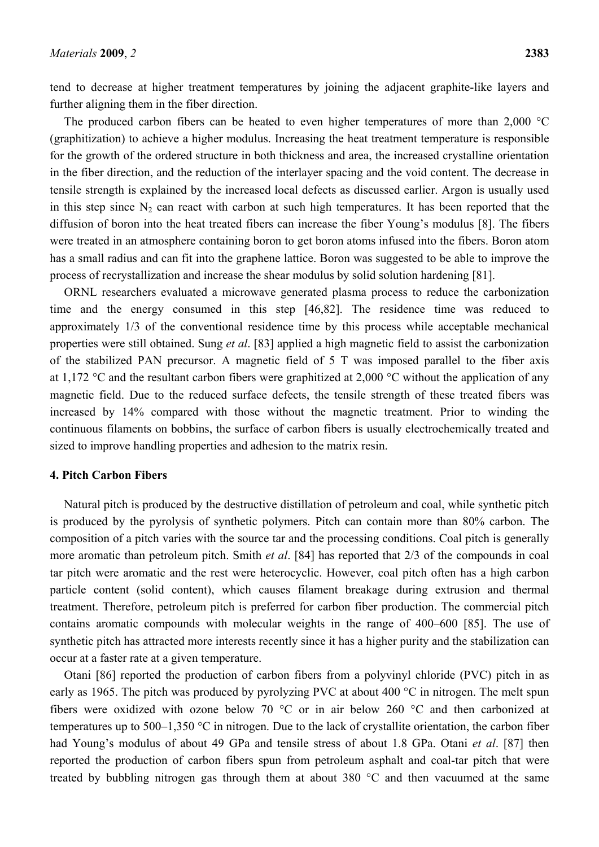tend to decrease at higher treatment temperatures by joining the adjacent graphite-like layers and further aligning them in the fiber direction.

The produced carbon fibers can be heated to even higher temperatures of more than 2,000 °C (graphitization) to achieve a higher modulus. Increasing the heat treatment temperature is responsible for the growth of the ordered structure in both thickness and area, the increased crystalline orientation in the fiber direction, and the reduction of the interlayer spacing and the void content. The decrease in tensile strength is explained by the increased local defects as discussed earlier. Argon is usually used in this step since  $N_2$  can react with carbon at such high temperatures. It has been reported that the diffusion of boron into the heat treated fibers can increase the fiber Young's modulus [8]. The fibers were treated in an atmosphere containing boron to get boron atoms infused into the fibers. Boron atom has a small radius and can fit into the graphene lattice. Boron was suggested to be able to improve the process of recrystallization and increase the shear modulus by solid solution hardening [81].

ORNL researchers evaluated a microwave generated plasma process to reduce the carbonization time and the energy consumed in this step [46,82]. The residence time was reduced to approximately 1/3 of the conventional residence time by this process while acceptable mechanical properties were still obtained. Sung *et al*. [83] applied a high magnetic field to assist the carbonization of the stabilized PAN precursor. A magnetic field of 5 T was imposed parallel to the fiber axis at 1,172 °C and the resultant carbon fibers were graphitized at 2,000 °C without the application of any magnetic field. Due to the reduced surface defects, the tensile strength of these treated fibers was increased by 14% compared with those without the magnetic treatment. Prior to winding the continuous filaments on bobbins, the surface of carbon fibers is usually electrochemically treated and sized to improve handling properties and adhesion to the matrix resin.

#### **4. Pitch Carbon Fibers**

Natural pitch is produced by the destructive distillation of petroleum and coal, while synthetic pitch is produced by the pyrolysis of synthetic polymers. Pitch can contain more than 80% carbon. The composition of a pitch varies with the source tar and the processing conditions. Coal pitch is generally more aromatic than petroleum pitch. Smith *et al*. [84] has reported that 2/3 of the compounds in coal tar pitch were aromatic and the rest were heterocyclic. However, coal pitch often has a high carbon particle content (solid content), which causes filament breakage during extrusion and thermal treatment. Therefore, petroleum pitch is preferred for carbon fiber production. The commercial pitch contains aromatic compounds with molecular weights in the range of 400–600 [85]. The use of synthetic pitch has attracted more interests recently since it has a higher purity and the stabilization can occur at a faster rate at a given temperature.

Otani [86] reported the production of carbon fibers from a polyvinyl chloride (PVC) pitch in as early as 1965. The pitch was produced by pyrolyzing PVC at about 400 °C in nitrogen. The melt spun fibers were oxidized with ozone below 70 °C or in air below 260 °C and then carbonized at temperatures up to 500–1,350 °C in nitrogen. Due to the lack of crystallite orientation, the carbon fiber had Young's modulus of about 49 GPa and tensile stress of about 1.8 GPa. Otani *et al*. [87] then reported the production of carbon fibers spun from petroleum asphalt and coal-tar pitch that were treated by bubbling nitrogen gas through them at about 380 °C and then vacuumed at the same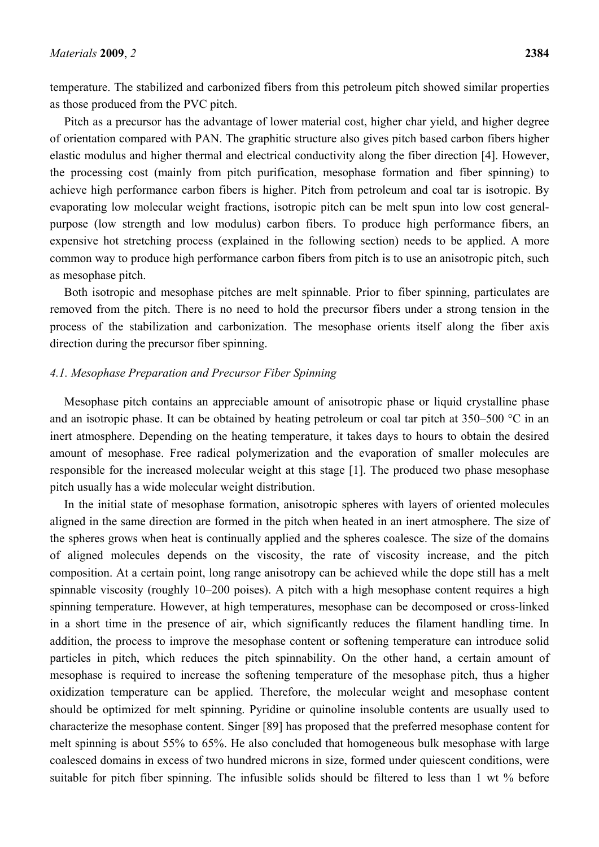temperature. The stabilized and carbonized fibers from this petroleum pitch showed similar properties as those produced from the PVC pitch.

Pitch as a precursor has the advantage of lower material cost, higher char yield, and higher degree of orientation compared with PAN. The graphitic structure also gives pitch based carbon fibers higher elastic modulus and higher thermal and electrical conductivity along the fiber direction [4]. However, the processing cost (mainly from pitch purification, mesophase formation and fiber spinning) to achieve high performance carbon fibers is higher. Pitch from petroleum and coal tar is isotropic. By evaporating low molecular weight fractions, isotropic pitch can be melt spun into low cost generalpurpose (low strength and low modulus) carbon fibers. To produce high performance fibers, an expensive hot stretching process (explained in the following section) needs to be applied. A more common way to produce high performance carbon fibers from pitch is to use an anisotropic pitch, such as mesophase pitch.

Both isotropic and mesophase pitches are melt spinnable. Prior to fiber spinning, particulates are removed from the pitch. There is no need to hold the precursor fibers under a strong tension in the process of the stabilization and carbonization. The mesophase orients itself along the fiber axis direction during the precursor fiber spinning.

### *4.1. Mesophase Preparation and Precursor Fiber Spinning*

Mesophase pitch contains an appreciable amount of anisotropic phase or liquid crystalline phase and an isotropic phase. It can be obtained by heating petroleum or coal tar pitch at 350–500 °C in an inert atmosphere. Depending on the heating temperature, it takes days to hours to obtain the desired amount of mesophase. Free radical polymerization and the evaporation of smaller molecules are responsible for the increased molecular weight at this stage [1]. The produced two phase mesophase pitch usually has a wide molecular weight distribution.

In the initial state of mesophase formation, anisotropic spheres with layers of oriented molecules aligned in the same direction are formed in the pitch when heated in an inert atmosphere. The size of the spheres grows when heat is continually applied and the spheres coalesce. The size of the domains of aligned molecules depends on the viscosity, the rate of viscosity increase, and the pitch composition. At a certain point, long range anisotropy can be achieved while the dope still has a melt spinnable viscosity (roughly 10–200 poises). A pitch with a high mesophase content requires a high spinning temperature. However, at high temperatures, mesophase can be decomposed or cross-linked in a short time in the presence of air, which significantly reduces the filament handling time. In addition, the process to improve the mesophase content or softening temperature can introduce solid particles in pitch, which reduces the pitch spinnability. On the other hand, a certain amount of mesophase is required to increase the softening temperature of the mesophase pitch, thus a higher oxidization temperature can be applied. Therefore, the molecular weight and mesophase content should be optimized for melt spinning. Pyridine or quinoline insoluble contents are usually used to characterize the mesophase content. Singer [89] has proposed that the preferred mesophase content for melt spinning is about 55% to 65%. He also concluded that homogeneous bulk mesophase with large coalesced domains in excess of two hundred microns in size, formed under quiescent conditions, were suitable for pitch fiber spinning. The infusible solids should be filtered to less than 1 wt % before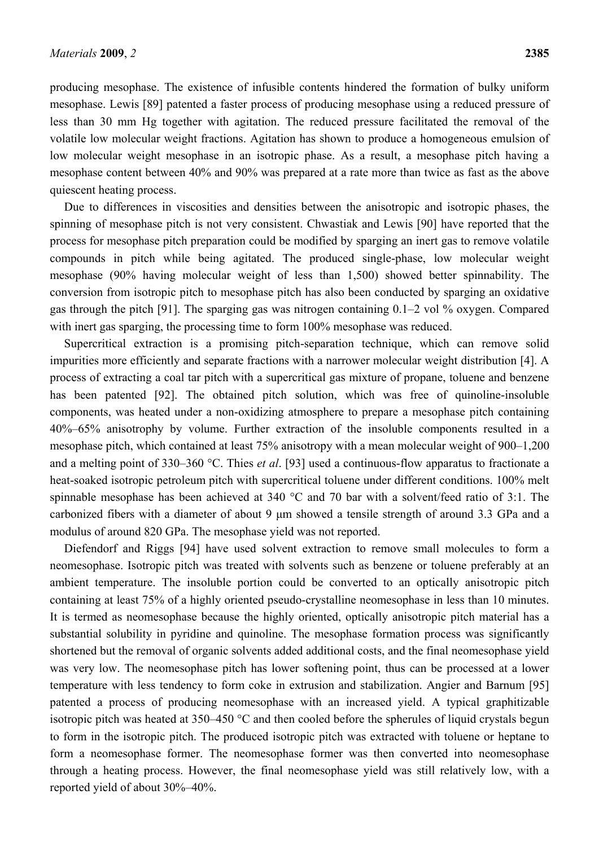producing mesophase. The existence of infusible contents hindered the formation of bulky uniform mesophase. Lewis [89] patented a faster process of producing mesophase using a reduced pressure of less than 30 mm Hg together with agitation. The reduced pressure facilitated the removal of the volatile low molecular weight fractions. Agitation has shown to produce a homogeneous emulsion of low molecular weight mesophase in an isotropic phase. As a result, a mesophase pitch having a mesophase content between 40% and 90% was prepared at a rate more than twice as fast as the above quiescent heating process.

Due to differences in viscosities and densities between the anisotropic and isotropic phases, the spinning of mesophase pitch is not very consistent. Chwastiak and Lewis [90] have reported that the process for mesophase pitch preparation could be modified by sparging an inert gas to remove volatile compounds in pitch while being agitated. The produced single-phase, low molecular weight mesophase (90% having molecular weight of less than 1,500) showed better spinnability. The conversion from isotropic pitch to mesophase pitch has also been conducted by sparging an oxidative gas through the pitch [91]. The sparging gas was nitrogen containing 0.1–2 vol % oxygen. Compared with inert gas sparging, the processing time to form 100% mesophase was reduced.

Supercritical extraction is a promising pitch-separation technique, which can remove solid impurities more efficiently and separate fractions with a narrower molecular weight distribution [4]. A process of extracting a coal tar pitch with a supercritical gas mixture of propane, toluene and benzene has been patented [92]. The obtained pitch solution, which was free of quinoline-insoluble components, was heated under a non-oxidizing atmosphere to prepare a mesophase pitch containing 40%–65% anisotrophy by volume. Further extraction of the insoluble components resulted in a mesophase pitch, which contained at least 75% anisotropy with a mean molecular weight of 900–1,200 and a melting point of 330–360 °C. Thies *et al*. [93] used a continuous-flow apparatus to fractionate a heat-soaked isotropic petroleum pitch with supercritical toluene under different conditions. 100% melt spinnable mesophase has been achieved at 340 °C and 70 bar with a solvent/feed ratio of 3:1. The carbonized fibers with a diameter of about 9 μm showed a tensile strength of around 3.3 GPa and a modulus of around 820 GPa. The mesophase yield was not reported.

Diefendorf and Riggs [94] have used solvent extraction to remove small molecules to form a neomesophase. Isotropic pitch was treated with solvents such as benzene or toluene preferably at an ambient temperature. The insoluble portion could be converted to an optically anisotropic pitch containing at least 75% of a highly oriented pseudo-crystalline neomesophase in less than 10 minutes. It is termed as neomesophase because the highly oriented, optically anisotropic pitch material has a substantial solubility in pyridine and quinoline. The mesophase formation process was significantly shortened but the removal of organic solvents added additional costs, and the final neomesophase yield was very low. The neomesophase pitch has lower softening point, thus can be processed at a lower temperature with less tendency to form coke in extrusion and stabilization. Angier and Barnum [95] patented a process of producing neomesophase with an increased yield. A typical graphitizable isotropic pitch was heated at 350–450 °C and then cooled before the spherules of liquid crystals begun to form in the isotropic pitch. The produced isotropic pitch was extracted with toluene or heptane to form a neomesophase former. The neomesophase former was then converted into neomesophase through a heating process. However, the final neomesophase yield was still relatively low, with a reported yield of about 30%–40%.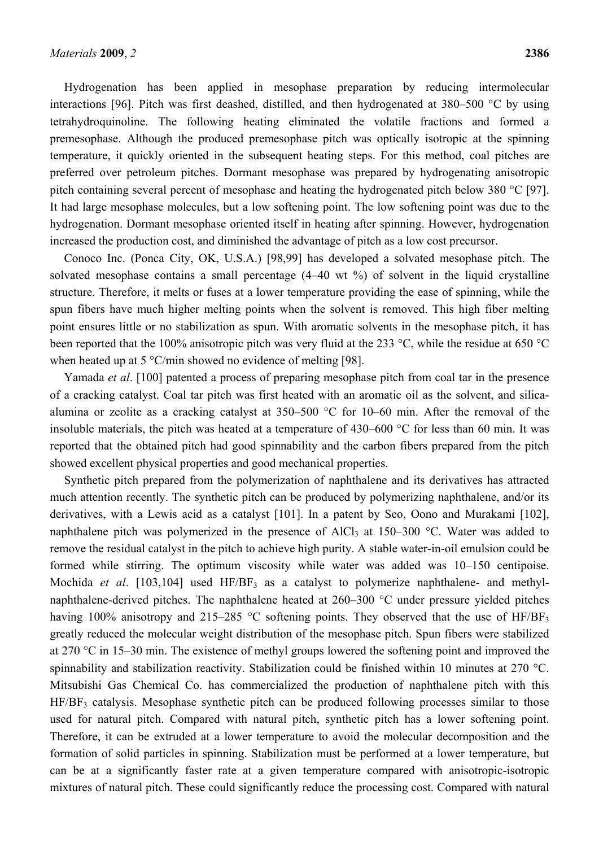Hydrogenation has been applied in mesophase preparation by reducing intermolecular interactions [96]. Pitch was first deashed, distilled, and then hydrogenated at 380–500 °C by using tetrahydroquinoline. The following heating eliminated the volatile fractions and formed a premesophase. Although the produced premesophase pitch was optically isotropic at the spinning temperature, it quickly oriented in the subsequent heating steps. For this method, coal pitches are preferred over petroleum pitches. Dormant mesophase was prepared by hydrogenating anisotropic pitch containing several percent of mesophase and heating the hydrogenated pitch below 380 °C [97]. It had large mesophase molecules, but a low softening point. The low softening point was due to the hydrogenation. Dormant mesophase oriented itself in heating after spinning. However, hydrogenation increased the production cost, and diminished the advantage of pitch as a low cost precursor.

Conoco Inc. (Ponca City, OK, U.S.A.) [98,99] has developed a solvated mesophase pitch. The solvated mesophase contains a small percentage (4–40 wt %) of solvent in the liquid crystalline structure. Therefore, it melts or fuses at a lower temperature providing the ease of spinning, while the spun fibers have much higher melting points when the solvent is removed. This high fiber melting point ensures little or no stabilization as spun. With aromatic solvents in the mesophase pitch, it has been reported that the 100% anisotropic pitch was very fluid at the 233 °C, while the residue at 650 °C when heated up at 5 °C/min showed no evidence of melting [98].

Yamada *et al*. [100] patented a process of preparing mesophase pitch from coal tar in the presence of a cracking catalyst. Coal tar pitch was first heated with an aromatic oil as the solvent, and silicaalumina or zeolite as a cracking catalyst at 350–500 °C for 10–60 min. After the removal of the insoluble materials, the pitch was heated at a temperature of 430–600 °C for less than 60 min. It was reported that the obtained pitch had good spinnability and the carbon fibers prepared from the pitch showed excellent physical properties and good mechanical properties.

Synthetic pitch prepared from the polymerization of naphthalene and its derivatives has attracted much attention recently. The synthetic pitch can be produced by polymerizing naphthalene, and/or its derivatives, with a Lewis acid as a catalyst [101]. In a patent by Seo, Oono and Murakami [102], naphthalene pitch was polymerized in the presence of AlCl<sub>3</sub> at 150–300  $^{\circ}$ C. Water was added to remove the residual catalyst in the pitch to achieve high purity. A stable water-in-oil emulsion could be formed while stirring. The optimum viscosity while water was added was 10–150 centipoise. Mochida et al. [103,104] used HF/BF<sub>3</sub> as a catalyst to polymerize naphthalene- and methylnaphthalene-derived pitches. The naphthalene heated at 260–300 °C under pressure yielded pitches having 100% anisotropy and 215–285 °C softening points. They observed that the use of HF/BF<sub>3</sub> greatly reduced the molecular weight distribution of the mesophase pitch. Spun fibers were stabilized at 270 °C in 15–30 min. The existence of methyl groups lowered the softening point and improved the spinnability and stabilization reactivity. Stabilization could be finished within 10 minutes at 270 °C. Mitsubishi Gas Chemical Co. has commercialized the production of naphthalene pitch with this  $HF/BF_3$  catalysis. Mesophase synthetic pitch can be produced following processes similar to those used for natural pitch. Compared with natural pitch, synthetic pitch has a lower softening point. Therefore, it can be extruded at a lower temperature to avoid the molecular decomposition and the formation of solid particles in spinning. Stabilization must be performed at a lower temperature, but can be at a significantly faster rate at a given temperature compared with anisotropic-isotropic mixtures of natural pitch. These could significantly reduce the processing cost. Compared with natural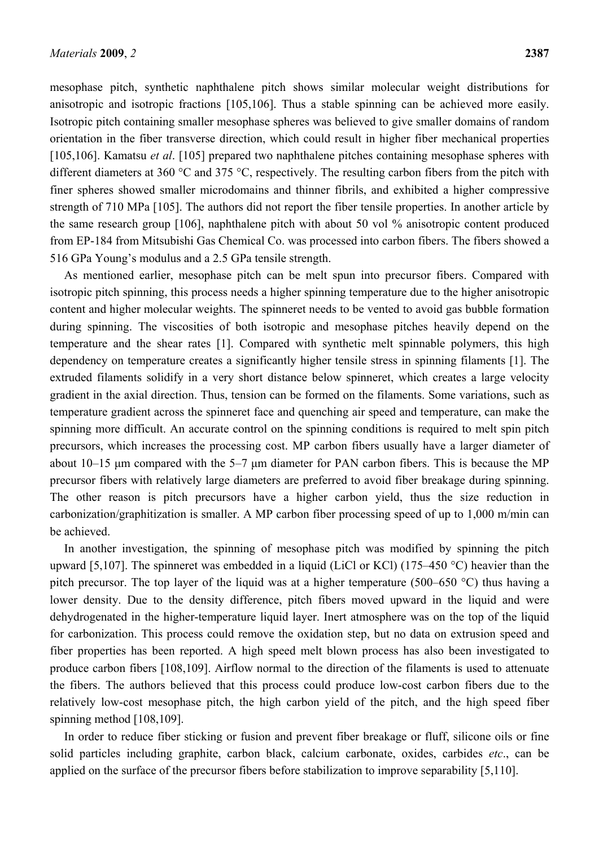mesophase pitch, synthetic naphthalene pitch shows similar molecular weight distributions for anisotropic and isotropic fractions [105,106]. Thus a stable spinning can be achieved more easily. Isotropic pitch containing smaller mesophase spheres was believed to give smaller domains of random orientation in the fiber transverse direction, which could result in higher fiber mechanical properties [105,106]. Kamatsu *et al*. [105] prepared two naphthalene pitches containing mesophase spheres with different diameters at 360 °C and 375 °C, respectively. The resulting carbon fibers from the pitch with finer spheres showed smaller microdomains and thinner fibrils, and exhibited a higher compressive strength of 710 MPa [105]. The authors did not report the fiber tensile properties. In another article by the same research group [106], naphthalene pitch with about 50 vol % anisotropic content produced from EP-184 from Mitsubishi Gas Chemical Co. was processed into carbon fibers. The fibers showed a 516 GPa Young's modulus and a 2.5 GPa tensile strength.

As mentioned earlier, mesophase pitch can be melt spun into precursor fibers. Compared with isotropic pitch spinning, this process needs a higher spinning temperature due to the higher anisotropic content and higher molecular weights. The spinneret needs to be vented to avoid gas bubble formation during spinning. The viscosities of both isotropic and mesophase pitches heavily depend on the temperature and the shear rates [1]. Compared with synthetic melt spinnable polymers, this high dependency on temperature creates a significantly higher tensile stress in spinning filaments [1]. The extruded filaments solidify in a very short distance below spinneret, which creates a large velocity gradient in the axial direction. Thus, tension can be formed on the filaments. Some variations, such as temperature gradient across the spinneret face and quenching air speed and temperature, can make the spinning more difficult. An accurate control on the spinning conditions is required to melt spin pitch precursors, which increases the processing cost. MP carbon fibers usually have a larger diameter of about 10–15 μm compared with the 5–7 μm diameter for PAN carbon fibers. This is because the MP precursor fibers with relatively large diameters are preferred to avoid fiber breakage during spinning. The other reason is pitch precursors have a higher carbon yield, thus the size reduction in carbonization/graphitization is smaller. A MP carbon fiber processing speed of up to 1,000 m/min can be achieved.

In another investigation, the spinning of mesophase pitch was modified by spinning the pitch upward [5,107]. The spinneret was embedded in a liquid (LiCl or KCl) (175–450 °C) heavier than the pitch precursor. The top layer of the liquid was at a higher temperature (500–650 °C) thus having a lower density. Due to the density difference, pitch fibers moved upward in the liquid and were dehydrogenated in the higher-temperature liquid layer. Inert atmosphere was on the top of the liquid for carbonization. This process could remove the oxidation step, but no data on extrusion speed and fiber properties has been reported. A high speed melt blown process has also been investigated to produce carbon fibers [108,109]. Airflow normal to the direction of the filaments is used to attenuate the fibers. The authors believed that this process could produce low-cost carbon fibers due to the relatively low-cost mesophase pitch, the high carbon yield of the pitch, and the high speed fiber spinning method [108,109].

In order to reduce fiber sticking or fusion and prevent fiber breakage or fluff, silicone oils or fine solid particles including graphite, carbon black, calcium carbonate, oxides, carbides *etc*., can be applied on the surface of the precursor fibers before stabilization to improve separability [5,110].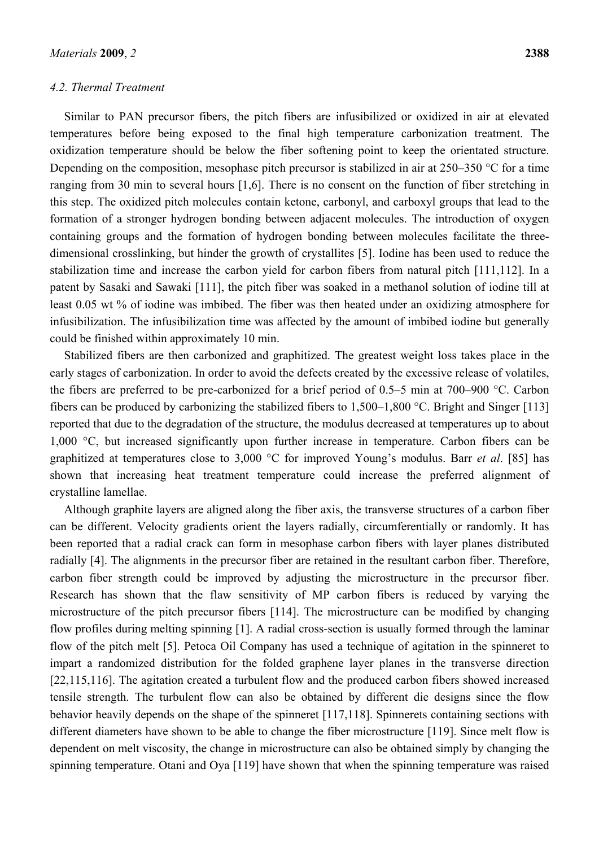# *4.2. Thermal Treatment*

Similar to PAN precursor fibers, the pitch fibers are infusibilized or oxidized in air at elevated temperatures before being exposed to the final high temperature carbonization treatment. The oxidization temperature should be below the fiber softening point to keep the orientated structure. Depending on the composition, mesophase pitch precursor is stabilized in air at 250–350 °C for a time ranging from 30 min to several hours [1,6]. There is no consent on the function of fiber stretching in this step. The oxidized pitch molecules contain ketone, carbonyl, and carboxyl groups that lead to the formation of a stronger hydrogen bonding between adjacent molecules. The introduction of oxygen containing groups and the formation of hydrogen bonding between molecules facilitate the threedimensional crosslinking, but hinder the growth of crystallites [5]. Iodine has been used to reduce the stabilization time and increase the carbon yield for carbon fibers from natural pitch [111,112]. In a patent by Sasaki and Sawaki [111], the pitch fiber was soaked in a methanol solution of iodine till at least 0.05 wt % of iodine was imbibed. The fiber was then heated under an oxidizing atmosphere for infusibilization. The infusibilization time was affected by the amount of imbibed iodine but generally could be finished within approximately 10 min.

Stabilized fibers are then carbonized and graphitized. The greatest weight loss takes place in the early stages of carbonization. In order to avoid the defects created by the excessive release of volatiles, the fibers are preferred to be pre-carbonized for a brief period of 0.5–5 min at 700–900 °C. Carbon fibers can be produced by carbonizing the stabilized fibers to 1,500–1,800 °C. Bright and Singer [113] reported that due to the degradation of the structure, the modulus decreased at temperatures up to about 1,000 °C, but increased significantly upon further increase in temperature. Carbon fibers can be graphitized at temperatures close to 3,000 °C for improved Young's modulus. Barr *et al*. [85] has shown that increasing heat treatment temperature could increase the preferred alignment of crystalline lamellae.

Although graphite layers are aligned along the fiber axis, the transverse structures of a carbon fiber can be different. Velocity gradients orient the layers radially, circumferentially or randomly. It has been reported that a radial crack can form in mesophase carbon fibers with layer planes distributed radially [4]. The alignments in the precursor fiber are retained in the resultant carbon fiber. Therefore, carbon fiber strength could be improved by adjusting the microstructure in the precursor fiber. Research has shown that the flaw sensitivity of MP carbon fibers is reduced by varying the microstructure of the pitch precursor fibers [114]. The microstructure can be modified by changing flow profiles during melting spinning [1]. A radial cross-section is usually formed through the laminar flow of the pitch melt [5]. Petoca Oil Company has used a technique of agitation in the spinneret to impart a randomized distribution for the folded graphene layer planes in the transverse direction [22,115,116]. The agitation created a turbulent flow and the produced carbon fibers showed increased tensile strength. The turbulent flow can also be obtained by different die designs since the flow behavior heavily depends on the shape of the spinneret [117,118]. Spinnerets containing sections with different diameters have shown to be able to change the fiber microstructure [119]. Since melt flow is dependent on melt viscosity, the change in microstructure can also be obtained simply by changing the spinning temperature. Otani and Oya [119] have shown that when the spinning temperature was raised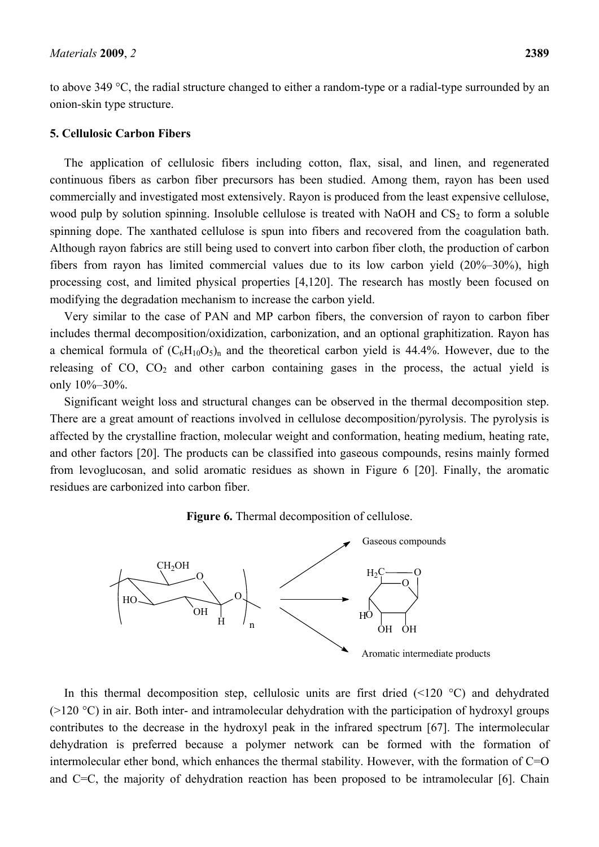to above 349 °C, the radial structure changed to either a random-type or a radial-type surrounded by an onion-skin type structure.

#### **5. Cellulosic Carbon Fibers**

The application of cellulosic fibers including cotton, flax, sisal, and linen, and regenerated continuous fibers as carbon fiber precursors has been studied. Among them, rayon has been used commercially and investigated most extensively. Rayon is produced from the least expensive cellulose, wood pulp by solution spinning. Insoluble cellulose is treated with NaOH and  $CS_2$  to form a soluble spinning dope. The xanthated cellulose is spun into fibers and recovered from the coagulation bath. Although rayon fabrics are still being used to convert into carbon fiber cloth, the production of carbon fibers from rayon has limited commercial values due to its low carbon yield (20%–30%), high processing cost, and limited physical properties [4,120]. The research has mostly been focused on modifying the degradation mechanism to increase the carbon yield.

Very similar to the case of PAN and MP carbon fibers, the conversion of rayon to carbon fiber includes thermal decomposition/oxidization, carbonization, and an optional graphitization. Rayon has a chemical formula of  $(C_6H_{10}O_5)_n$  and the theoretical carbon yield is 44.4%. However, due to the releasing of  $CO$ ,  $CO<sub>2</sub>$  and other carbon containing gases in the process, the actual yield is only 10%–30%.

Significant weight loss and structural changes can be observed in the thermal decomposition step. There are a great amount of reactions involved in cellulose decomposition/pyrolysis. The pyrolysis is affected by the crystalline fraction, molecular weight and conformation, heating medium, heating rate, and other factors [20]. The products can be classified into gaseous compounds, resins mainly formed from levoglucosan, and solid aromatic residues as shown in Figure 6 [20]. Finally, the aromatic residues are carbonized into carbon fiber.

#### **Figure 6.** Thermal decomposition of cellulose.



In this thermal decomposition step, cellulosic units are first dried  $(\leq 120 \degree C)$  and dehydrated  $(>120 \degree C)$  in air. Both inter- and intramolecular dehydration with the participation of hydroxyl groups contributes to the decrease in the hydroxyl peak in the infrared spectrum [67]. The intermolecular dehydration is preferred because a polymer network can be formed with the formation of intermolecular ether bond, which enhances the thermal stability. However, with the formation of C=O and C=C, the majority of dehydration reaction has been proposed to be intramolecular [6]. Chain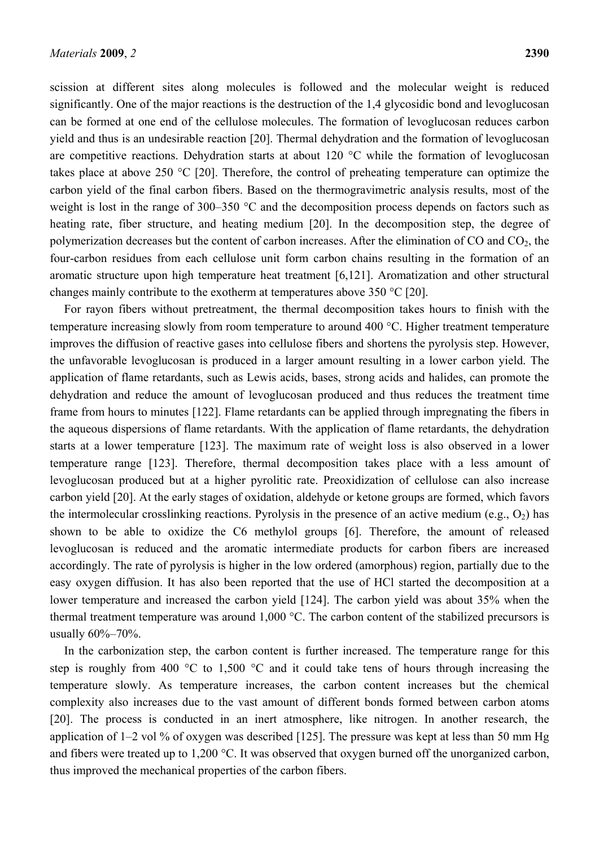scission at different sites along molecules is followed and the molecular weight is reduced significantly. One of the major reactions is the destruction of the 1,4 glycosidic bond and levoglucosan can be formed at one end of the cellulose molecules. The formation of levoglucosan reduces carbon yield and thus is an undesirable reaction [20]. Thermal dehydration and the formation of levoglucosan are competitive reactions. Dehydration starts at about 120 °C while the formation of levoglucosan takes place at above 250 °C [20]. Therefore, the control of preheating temperature can optimize the carbon yield of the final carbon fibers. Based on the thermogravimetric analysis results, most of the weight is lost in the range of 300–350 °C and the decomposition process depends on factors such as heating rate, fiber structure, and heating medium [20]. In the decomposition step, the degree of polymerization decreases but the content of carbon increases. After the elimination of  $CO$  and  $CO<sub>2</sub>$ , the four-carbon residues from each cellulose unit form carbon chains resulting in the formation of an aromatic structure upon high temperature heat treatment [6,121]. Aromatization and other structural changes mainly contribute to the exotherm at temperatures above 350 °C [20].

For rayon fibers without pretreatment, the thermal decomposition takes hours to finish with the temperature increasing slowly from room temperature to around 400 °C. Higher treatment temperature improves the diffusion of reactive gases into cellulose fibers and shortens the pyrolysis step. However, the unfavorable levoglucosan is produced in a larger amount resulting in a lower carbon yield. The application of flame retardants, such as Lewis acids, bases, strong acids and halides, can promote the dehydration and reduce the amount of levoglucosan produced and thus reduces the treatment time frame from hours to minutes [122]. Flame retardants can be applied through impregnating the fibers in the aqueous dispersions of flame retardants. With the application of flame retardants, the dehydration starts at a lower temperature [123]. The maximum rate of weight loss is also observed in a lower temperature range [123]. Therefore, thermal decomposition takes place with a less amount of levoglucosan produced but at a higher pyrolitic rate. Preoxidization of cellulose can also increase carbon yield [20]. At the early stages of oxidation, aldehyde or ketone groups are formed, which favors the intermolecular crosslinking reactions. Pyrolysis in the presence of an active medium (e.g.,  $O_2$ ) has shown to be able to oxidize the C6 methylol groups [6]. Therefore, the amount of released levoglucosan is reduced and the aromatic intermediate products for carbon fibers are increased accordingly. The rate of pyrolysis is higher in the low ordered (amorphous) region, partially due to the easy oxygen diffusion. It has also been reported that the use of HCl started the decomposition at a lower temperature and increased the carbon yield [124]. The carbon yield was about 35% when the thermal treatment temperature was around 1,000 °C. The carbon content of the stabilized precursors is usually 60%–70%.

In the carbonization step, the carbon content is further increased. The temperature range for this step is roughly from 400  $\degree$ C to 1,500  $\degree$ C and it could take tens of hours through increasing the temperature slowly. As temperature increases, the carbon content increases but the chemical complexity also increases due to the vast amount of different bonds formed between carbon atoms [20]. The process is conducted in an inert atmosphere, like nitrogen. In another research, the application of  $1-2$  vol % of oxygen was described [125]. The pressure was kept at less than 50 mm Hg and fibers were treated up to 1,200 °C. It was observed that oxygen burned off the unorganized carbon, thus improved the mechanical properties of the carbon fibers.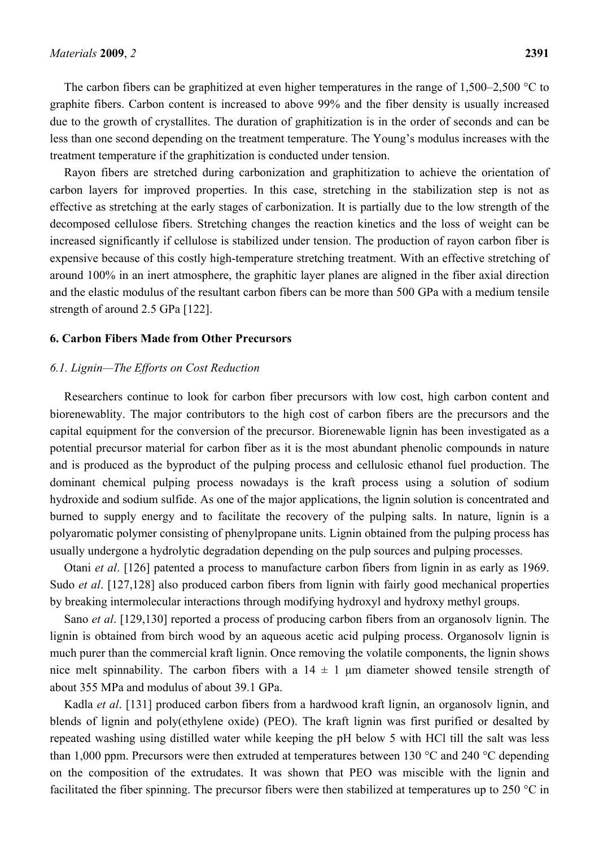The carbon fibers can be graphitized at even higher temperatures in the range of 1,500–2,500 °C to graphite fibers. Carbon content is increased to above 99% and the fiber density is usually increased due to the growth of crystallites. The duration of graphitization is in the order of seconds and can be less than one second depending on the treatment temperature. The Young's modulus increases with the treatment temperature if the graphitization is conducted under tension.

Rayon fibers are stretched during carbonization and graphitization to achieve the orientation of carbon layers for improved properties. In this case, stretching in the stabilization step is not as effective as stretching at the early stages of carbonization. It is partially due to the low strength of the decomposed cellulose fibers. Stretching changes the reaction kinetics and the loss of weight can be increased significantly if cellulose is stabilized under tension. The production of rayon carbon fiber is expensive because of this costly high-temperature stretching treatment. With an effective stretching of around 100% in an inert atmosphere, the graphitic layer planes are aligned in the fiber axial direction and the elastic modulus of the resultant carbon fibers can be more than 500 GPa with a medium tensile strength of around 2.5 GPa [122].

## **6. Carbon Fibers Made from Other Precursors**

### *6.1. Lignin—The Efforts on Cost Reduction*

Researchers continue to look for carbon fiber precursors with low cost, high carbon content and biorenewablity. The major contributors to the high cost of carbon fibers are the precursors and the capital equipment for the conversion of the precursor. Biorenewable lignin has been investigated as a potential precursor material for carbon fiber as it is the most abundant phenolic compounds in nature and is produced as the byproduct of the pulping process and cellulosic ethanol fuel production. The dominant chemical pulping process nowadays is the kraft process using a solution of sodium hydroxide and sodium sulfide. As one of the major applications, the lignin solution is concentrated and burned to supply energy and to facilitate the recovery of the pulping salts. In nature, lignin is a polyaromatic polymer consisting of phenylpropane units. Lignin obtained from the pulping process has usually undergone a hydrolytic degradation depending on the pulp sources and pulping processes.

Otani *et al*. [126] patented a process to manufacture carbon fibers from lignin in as early as 1969. Sudo *et al*. [127,128] also produced carbon fibers from lignin with fairly good mechanical properties by breaking intermolecular interactions through modifying hydroxyl and hydroxy methyl groups.

Sano *et al*. [129,130] reported a process of producing carbon fibers from an organosolv lignin. The lignin is obtained from birch wood by an aqueous acetic acid pulping process. Organosolv lignin is much purer than the commercial kraft lignin. Once removing the volatile components, the lignin shows nice melt spinnability. The carbon fibers with a  $14 \pm 1$  um diameter showed tensile strength of about 355 MPa and modulus of about 39.1 GPa.

Kadla *et al*. [131] produced carbon fibers from a hardwood kraft lignin, an organosolv lignin, and blends of lignin and poly(ethylene oxide) (PEO). The kraft lignin was first purified or desalted by repeated washing using distilled water while keeping the pH below 5 with HCl till the salt was less than 1,000 ppm. Precursors were then extruded at temperatures between 130 °C and 240 °C depending on the composition of the extrudates. It was shown that PEO was miscible with the lignin and facilitated the fiber spinning. The precursor fibers were then stabilized at temperatures up to 250 °C in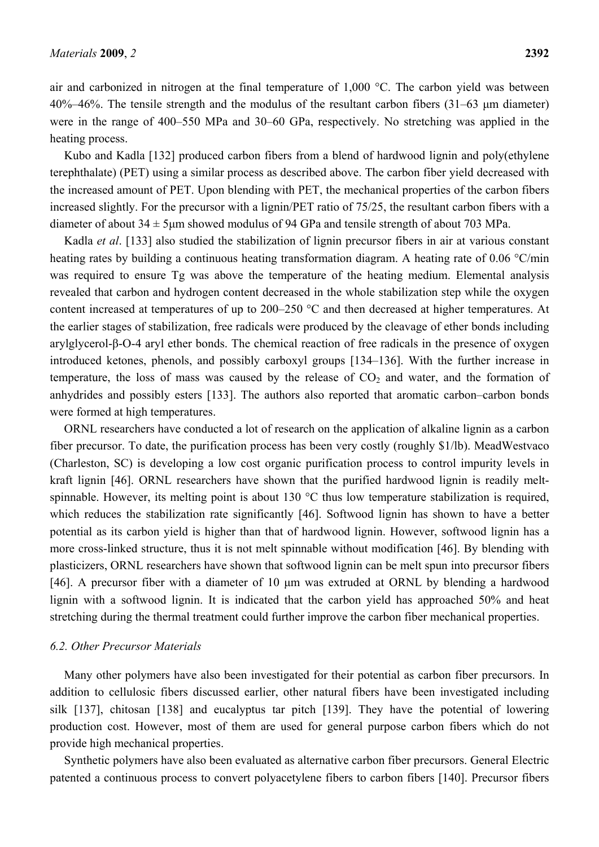air and carbonized in nitrogen at the final temperature of 1,000 °C. The carbon yield was between 40%–46%. The tensile strength and the modulus of the resultant carbon fibers (31–63 μm diameter) were in the range of 400–550 MPa and 30–60 GPa, respectively. No stretching was applied in the heating process.

Kubo and Kadla [132] produced carbon fibers from a blend of hardwood lignin and poly(ethylene terephthalate) (PET) using a similar process as described above. The carbon fiber yield decreased with the increased amount of PET. Upon blending with PET, the mechanical properties of the carbon fibers increased slightly. For the precursor with a lignin/PET ratio of 75/25, the resultant carbon fibers with a diameter of about  $34 \pm 5 \mu m$  showed modulus of 94 GPa and tensile strength of about 703 MPa.

Kadla *et al*. [133] also studied the stabilization of lignin precursor fibers in air at various constant heating rates by building a continuous heating transformation diagram. A heating rate of 0.06 °C/min was required to ensure Tg was above the temperature of the heating medium. Elemental analysis revealed that carbon and hydrogen content decreased in the whole stabilization step while the oxygen content increased at temperatures of up to 200–250 °C and then decreased at higher temperatures. At the earlier stages of stabilization, free radicals were produced by the cleavage of ether bonds including arylglycerol-β-O-4 aryl ether bonds. The chemical reaction of free radicals in the presence of oxygen introduced ketones, phenols, and possibly carboxyl groups [134–136]. With the further increase in temperature, the loss of mass was caused by the release of  $CO<sub>2</sub>$  and water, and the formation of anhydrides and possibly esters [133]. The authors also reported that aromatic carbon–carbon bonds were formed at high temperatures.

ORNL researchers have conducted a lot of research on the application of alkaline lignin as a carbon fiber precursor. To date, the purification process has been very costly (roughly \$1/lb). MeadWestvaco (Charleston, SC) is developing a low cost organic purification process to control impurity levels in kraft lignin [46]. ORNL researchers have shown that the purified hardwood lignin is readily meltspinnable. However, its melting point is about 130 °C thus low temperature stabilization is required, which reduces the stabilization rate significantly [46]. Softwood lignin has shown to have a better potential as its carbon yield is higher than that of hardwood lignin. However, softwood lignin has a more cross-linked structure, thus it is not melt spinnable without modification [46]. By blending with plasticizers, ORNL researchers have shown that softwood lignin can be melt spun into precursor fibers [46]. A precursor fiber with a diameter of 10 μm was extruded at ORNL by blending a hardwood lignin with a softwood lignin. It is indicated that the carbon yield has approached 50% and heat stretching during the thermal treatment could further improve the carbon fiber mechanical properties.

### *6.2. Other Precursor Materials*

Many other polymers have also been investigated for their potential as carbon fiber precursors. In addition to cellulosic fibers discussed earlier, other natural fibers have been investigated including silk [137], chitosan [138] and eucalyptus tar pitch [139]. They have the potential of lowering production cost. However, most of them are used for general purpose carbon fibers which do not provide high mechanical properties.

Synthetic polymers have also been evaluated as alternative carbon fiber precursors. General Electric patented a continuous process to convert polyacetylene fibers to carbon fibers [140]. Precursor fibers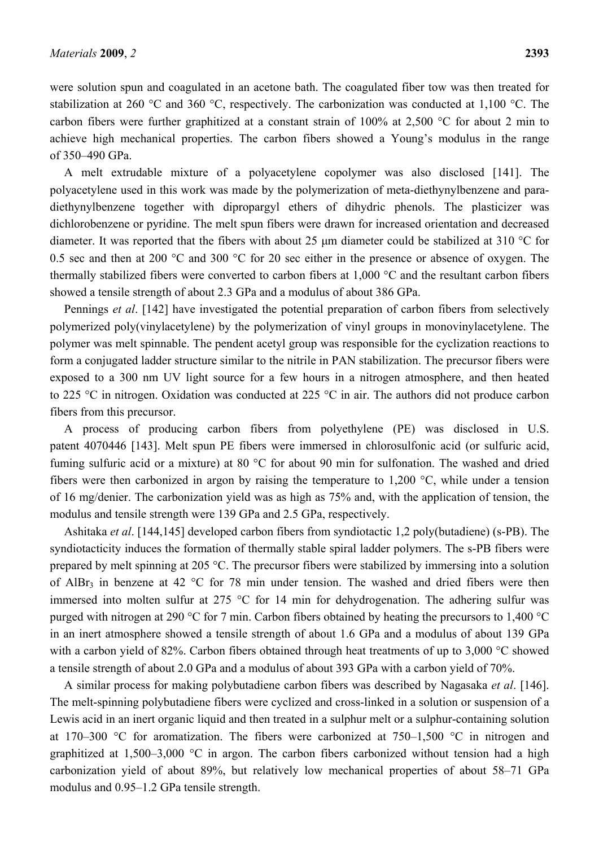were solution spun and coagulated in an acetone bath. The coagulated fiber tow was then treated for stabilization at 260 °C and 360 °C, respectively. The carbonization was conducted at 1,100 °C. The carbon fibers were further graphitized at a constant strain of 100% at 2,500 °C for about 2 min to achieve high mechanical properties. The carbon fibers showed a Young's modulus in the range of 350–490 GPa.

A melt extrudable mixture of a polyacetylene copolymer was also disclosed [141]. The polyacetylene used in this work was made by the polymerization of meta-diethynylbenzene and paradiethynylbenzene together with dipropargyl ethers of dihydric phenols. The plasticizer was dichlorobenzene or pyridine. The melt spun fibers were drawn for increased orientation and decreased diameter. It was reported that the fibers with about 25 μm diameter could be stabilized at 310 °C for 0.5 sec and then at 200 °C and 300 °C for 20 sec either in the presence or absence of oxygen. The thermally stabilized fibers were converted to carbon fibers at 1,000 °C and the resultant carbon fibers showed a tensile strength of about 2.3 GPa and a modulus of about 386 GPa.

Pennings *et al*. [142] have investigated the potential preparation of carbon fibers from selectively polymerized poly(vinylacetylene) by the polymerization of vinyl groups in monovinylacetylene. The polymer was melt spinnable. The pendent acetyl group was responsible for the cyclization reactions to form a conjugated ladder structure similar to the nitrile in PAN stabilization. The precursor fibers were exposed to a 300 nm UV light source for a few hours in a nitrogen atmosphere, and then heated to 225 °C in nitrogen. Oxidation was conducted at 225 °C in air. The authors did not produce carbon fibers from this precursor.

A process of producing carbon fibers from polyethylene (PE) was disclosed in U.S. patent 4070446 [143]. Melt spun PE fibers were immersed in chlorosulfonic acid (or sulfuric acid, fuming sulfuric acid or a mixture) at 80 °C for about 90 min for sulfonation. The washed and dried fibers were then carbonized in argon by raising the temperature to 1,200 °C, while under a tension of 16 mg/denier. The carbonization yield was as high as 75% and, with the application of tension, the modulus and tensile strength were 139 GPa and 2.5 GPa, respectively.

Ashitaka *et al*. [144,145] developed carbon fibers from syndiotactic 1,2 poly(butadiene) (s-PB). The syndiotacticity induces the formation of thermally stable spiral ladder polymers. The s-PB fibers were prepared by melt spinning at 205 °C. The precursor fibers were stabilized by immersing into a solution of AlBr<sub>3</sub> in benzene at 42 °C for 78 min under tension. The washed and dried fibers were then immersed into molten sulfur at 275 °C for 14 min for dehydrogenation. The adhering sulfur was purged with nitrogen at 290 °C for 7 min. Carbon fibers obtained by heating the precursors to 1,400 °C in an inert atmosphere showed a tensile strength of about 1.6 GPa and a modulus of about 139 GPa with a carbon yield of 82%. Carbon fibers obtained through heat treatments of up to 3,000 °C showed a tensile strength of about 2.0 GPa and a modulus of about 393 GPa with a carbon yield of 70%.

A similar process for making polybutadiene carbon fibers was described by Nagasaka *et al*. [146]. The melt-spinning polybutadiene fibers were cyclized and cross-linked in a solution or suspension of a Lewis acid in an inert organic liquid and then treated in a sulphur melt or a sulphur-containing solution at 170–300 °C for aromatization. The fibers were carbonized at 750–1,500 °C in nitrogen and graphitized at 1,500–3,000 °C in argon. The carbon fibers carbonized without tension had a high carbonization yield of about 89%, but relatively low mechanical properties of about 58–71 GPa modulus and 0.95–1.2 GPa tensile strength.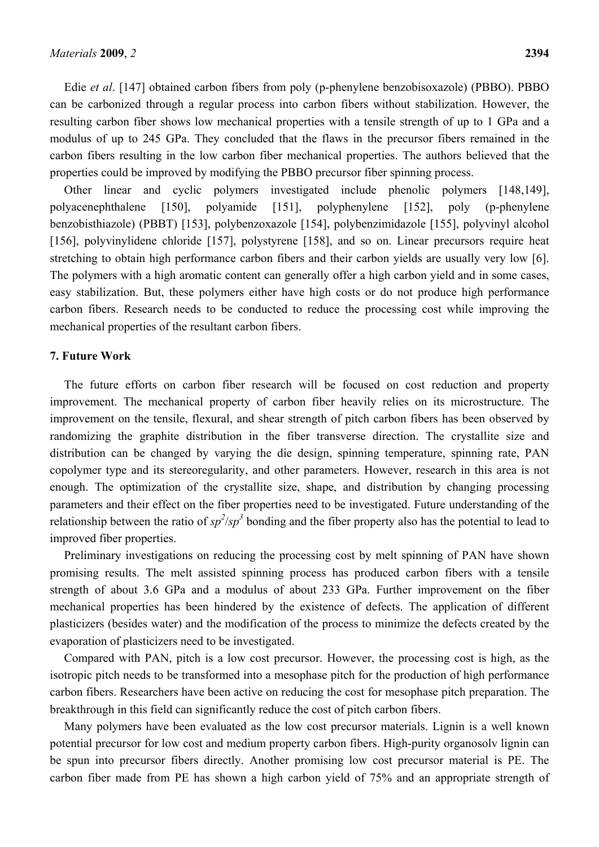Edie *et al*. [147] obtained carbon fibers from poly (p-phenylene benzobisoxazole) (PBBO). PBBO can be carbonized through a regular process into carbon fibers without stabilization. However, the resulting carbon fiber shows low mechanical properties with a tensile strength of up to 1 GPa and a modulus of up to 245 GPa. They concluded that the flaws in the precursor fibers remained in the carbon fibers resulting in the low carbon fiber mechanical properties. The authors believed that the properties could be improved by modifying the PBBO precursor fiber spinning process.

Other linear and cyclic polymers investigated include phenolic polymers [148,149], polyacenephthalene [150], polyamide [151], polyphenylene [152], poly (p-phenylene benzobisthiazole) (PBBT) [153], polybenzoxazole [154], polybenzimidazole [155], polyvinyl alcohol [156], polyvinylidene chloride [157], polystyrene [158], and so on. Linear precursors require heat stretching to obtain high performance carbon fibers and their carbon yields are usually very low [6]. The polymers with a high aromatic content can generally offer a high carbon yield and in some cases, easy stabilization. But, these polymers either have high costs or do not produce high performance carbon fibers. Research needs to be conducted to reduce the processing cost while improving the mechanical properties of the resultant carbon fibers.

#### **7. Future Work**

The future efforts on carbon fiber research will be focused on cost reduction and property improvement. The mechanical property of carbon fiber heavily relies on its microstructure. The improvement on the tensile, flexural, and shear strength of pitch carbon fibers has been observed by randomizing the graphite distribution in the fiber transverse direction. The crystallite size and distribution can be changed by varying the die design, spinning temperature, spinning rate, PAN copolymer type and its stereoregularity, and other parameters. However, research in this area is not enough. The optimization of the crystallite size, shape, and distribution by changing processing parameters and their effect on the fiber properties need to be investigated. Future understanding of the relationship between the ratio of  $sp^2/sp^3$  bonding and the fiber property also has the potential to lead to improved fiber properties.

Preliminary investigations on reducing the processing cost by melt spinning of PAN have shown promising results. The melt assisted spinning process has produced carbon fibers with a tensile strength of about 3.6 GPa and a modulus of about 233 GPa. Further improvement on the fiber mechanical properties has been hindered by the existence of defects. The application of different plasticizers (besides water) and the modification of the process to minimize the defects created by the evaporation of plasticizers need to be investigated.

Compared with PAN, pitch is a low cost precursor. However, the processing cost is high, as the isotropic pitch needs to be transformed into a mesophase pitch for the production of high performance carbon fibers. Researchers have been active on reducing the cost for mesophase pitch preparation. The breakthrough in this field can significantly reduce the cost of pitch carbon fibers.

Many polymers have been evaluated as the low cost precursor materials. Lignin is a well known potential precursor for low cost and medium property carbon fibers. High-purity organosolv lignin can be spun into precursor fibers directly. Another promising low cost precursor material is PE. The carbon fiber made from PE has shown a high carbon yield of 75% and an appropriate strength of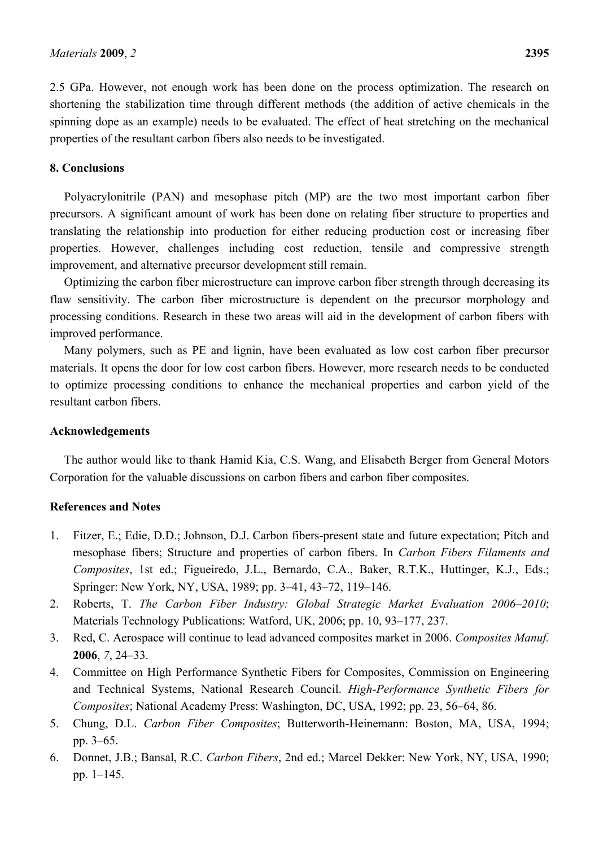2.5 GPa. However, not enough work has been done on the process optimization. The research on shortening the stabilization time through different methods (the addition of active chemicals in the spinning dope as an example) needs to be evaluated. The effect of heat stretching on the mechanical properties of the resultant carbon fibers also needs to be investigated.

# **8. Conclusions**

Polyacrylonitrile (PAN) and mesophase pitch (MP) are the two most important carbon fiber precursors. A significant amount of work has been done on relating fiber structure to properties and translating the relationship into production for either reducing production cost or increasing fiber properties. However, challenges including cost reduction, tensile and compressive strength improvement, and alternative precursor development still remain.

Optimizing the carbon fiber microstructure can improve carbon fiber strength through decreasing its flaw sensitivity. The carbon fiber microstructure is dependent on the precursor morphology and processing conditions. Research in these two areas will aid in the development of carbon fibers with improved performance.

Many polymers, such as PE and lignin, have been evaluated as low cost carbon fiber precursor materials. It opens the door for low cost carbon fibers. However, more research needs to be conducted to optimize processing conditions to enhance the mechanical properties and carbon yield of the resultant carbon fibers.

# **Acknowledgements**

The author would like to thank Hamid Kia, C.S. Wang, and Elisabeth Berger from General Motors Corporation for the valuable discussions on carbon fibers and carbon fiber composites.

# **References and Notes**

- 1. Fitzer, E.; Edie, D.D.; Johnson, D.J. Carbon fibers-present state and future expectation; Pitch and mesophase fibers; Structure and properties of carbon fibers. In *Carbon Fibers Filaments and Composites*, 1st ed.; Figueiredo, J.L., Bernardo, C.A., Baker, R.T.K., Huttinger, K.J., Eds.; Springer: New York, NY, USA, 1989; pp. 3–41, 43–72, 119–146.
- 2. Roberts, T. *The Carbon Fiber Industry: Global Strategic Market Evaluation 2006*–*2010*; Materials Technology Publications: Watford, UK, 2006; pp. 10, 93–177, 237.
- 3. Red, C. Aerospace will continue to lead advanced composites market in 2006. *Composites Manuf.* **2006**, *7*, 24–33.
- 4. Committee on High Performance Synthetic Fibers for Composites, Commission on Engineering and Technical Systems, National Research Council. *High-Performance Synthetic Fibers for Composites*; National Academy Press: Washington, DC, USA, 1992; pp. 23, 56–64, 86.
- 5. Chung, D.L. *Carbon Fiber Composites*; Butterworth-Heinemann: Boston, MA, USA, 1994; pp. 3–65.
- 6. Donnet, J.B.; Bansal, R.C. *Carbon Fibers*, 2nd ed.; Marcel Dekker: New York, NY, USA, 1990; pp. 1–145.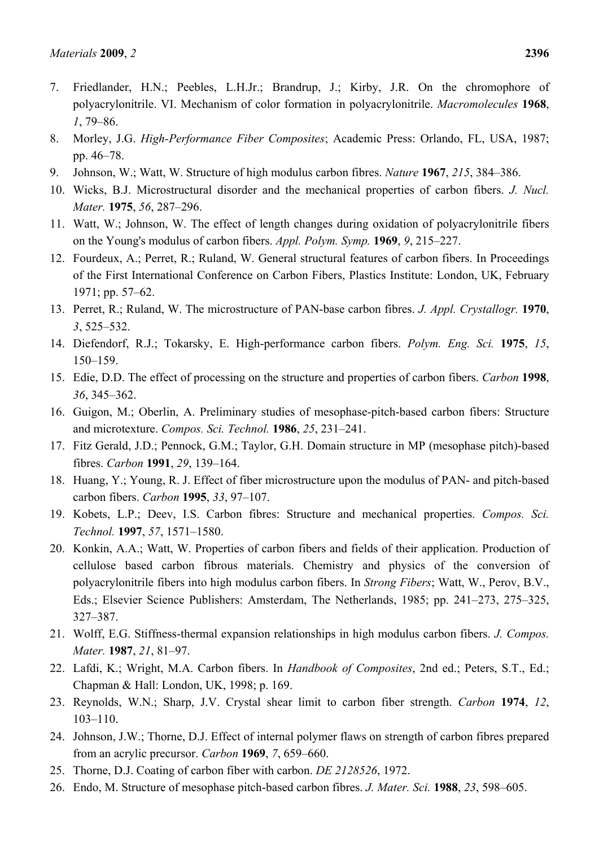- 7. Friedlander, H.N.; Peebles, L.H.Jr.; Brandrup, J.; Kirby, J.R. On the chromophore of polyacrylonitrile. VI. Mechanism of color formation in polyacrylonitrile. *Macromolecules* **1968**, *1*, 79–86.
- 8. Morley, J.G. *High-Performance Fiber Composites*; Academic Press: Orlando, FL, USA, 1987; pp. 46–78.
- 9. Johnson, W.; Watt, W. Structure of high modulus carbon fibres. *Nature* **1967**, *215*, 384–386.
- 10. Wicks, B.J. Microstructural disorder and the mechanical properties of carbon fibers. *J. Nucl. Mater.* **1975**, *56*, 287–296.
- 11. Watt, W.; Johnson, W. The effect of length changes during oxidation of polyacrylonitrile fibers on the Young's modulus of carbon fibers. *Appl. Polym. Symp.* **1969**, *9*, 215–227.
- 12. Fourdeux, A.; Perret, R.; Ruland, W. General structural features of carbon fibers. In Proceedings of the First International Conference on Carbon Fibers, Plastics Institute: London, UK, February 1971; pp. 57–62.
- 13. Perret, R.; Ruland, W. The microstructure of PAN-base carbon fibres. *J. Appl. Crystallogr.* **1970**, *3*, 525–532.
- 14. Diefendorf, R.J.; Tokarsky, E. High-performance carbon fibers. *Polym. Eng. Sci.* **1975**, *15*, 150–159.
- 15. Edie, D.D. The effect of processing on the structure and properties of carbon fibers. *Carbon* **1998**, *36*, 345–362.
- 16. Guigon, M.; Oberlin, A. Preliminary studies of mesophase-pitch-based carbon fibers: Structure and microtexture. *Compos. Sci. Technol.* **1986**, *25*, 231–241.
- 17. Fitz Gerald, J.D.; Pennock, G.M.; Taylor, G.H. Domain structure in MP (mesophase pitch)-based fibres. *Carbon* **1991**, *29*, 139–164.
- 18. Huang, Y.; Young, R. J. Effect of fiber microstructure upon the modulus of PAN- and pitch-based carbon fibers. *Carbon* **1995**, *33*, 97–107.
- 19. Kobets, L.P.; Deev, I.S. Carbon fibres: Structure and mechanical properties. *Compos. Sci. Technol.* **1997**, *57*, 1571–1580.
- 20. Konkin, A.A.; Watt, W. Properties of carbon fibers and fields of their application. Production of cellulose based carbon fibrous materials. Chemistry and physics of the conversion of polyacrylonitrile fibers into high modulus carbon fibers. In *Strong Fibers*; Watt, W., Perov, B.V., Eds.; Elsevier Science Publishers: Amsterdam, The Netherlands, 1985; pp. 241–273, 275–325, 327–387.
- 21. Wolff, E.G. Stiffness-thermal expansion relationships in high modulus carbon fibers. *J. Compos. Mater.* **1987**, *21*, 81–97.
- 22. Lafdi, K.; Wright, M.A. Carbon fibers. In *Handbook of Composites*, 2nd ed.; Peters, S.T., Ed.; Chapman & Hall: London, UK, 1998; p. 169.
- 23. Reynolds, W.N.; Sharp, J.V. Crystal shear limit to carbon fiber strength. *Carbon* **1974**, *12*, 103–110.
- 24. Johnson, J.W.; Thorne, D.J. Effect of internal polymer flaws on strength of carbon fibres prepared from an acrylic precursor. *Carbon* **1969**, *7*, 659–660.
- 25. Thorne, D.J. Coating of carbon fiber with carbon. *DE 2128526*, 1972.
- 26. Endo, M. Structure of mesophase pitch-based carbon fibres. *J. Mater. Sci.* **1988**, *23*, 598–605.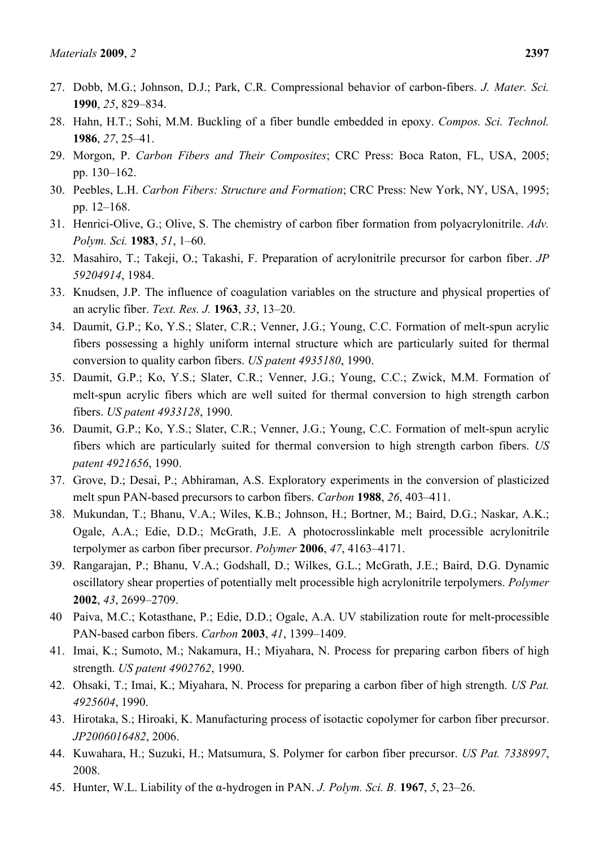- 27. Dobb, M.G.; Johnson, D.J.; Park, C.R. Compressional behavior of carbon-fibers. *J. Mater. Sci.* **1990**, *25*, 829–834.
- 28. Hahn, H.T.; Sohi, M.M. Buckling of a fiber bundle embedded in epoxy. *Compos. Sci. Technol.* **1986**, *27*, 25–41.
- 29. Morgon, P. *Carbon Fibers and Their Composites*; CRC Press: Boca Raton, FL, USA, 2005; pp. 130–162.
- 30. Peebles, L.H. *Carbon Fibers: Structure and Formation*; CRC Press: New York, NY, USA, 1995; pp. 12–168.
- 31. Henrici-Olive, G.; Olive, S. The chemistry of carbon fiber formation from polyacrylonitrile. *Adv. Polym. Sci.* **1983**, *51*, 1–60.
- 32. Masahiro, T.; Takeji, O.; Takashi, F. Preparation of acrylonitrile precursor for carbon fiber. *JP 59204914*, 1984.
- 33. Knudsen, J.P. The influence of coagulation variables on the structure and physical properties of an acrylic fiber. *Text. Res. J.* **1963**, *33*, 13–20.
- 34. Daumit, G.P.; Ko, Y.S.; Slater, C.R.; Venner, J.G.; Young, C.C. Formation of melt-spun acrylic fibers possessing a highly uniform internal structure which are particularly suited for thermal conversion to quality carbon fibers. *US patent 4935180*, 1990.
- 35. Daumit, G.P.; Ko, Y.S.; Slater, C.R.; Venner, J.G.; Young, C.C.; Zwick, M.M. Formation of melt-spun acrylic fibers which are well suited for thermal conversion to high strength carbon fibers. *US patent 4933128*, 1990.
- 36. Daumit, G.P.; Ko, Y.S.; Slater, C.R.; Venner, J.G.; Young, C.C. Formation of melt-spun acrylic fibers which are particularly suited for thermal conversion to high strength carbon fibers. *US patent 4921656*, 1990.
- 37. Grove, D.; Desai, P.; Abhiraman, A.S. Exploratory experiments in the conversion of plasticized melt spun PAN-based precursors to carbon fibers. *Carbon* **1988**, *26*, 403–411.
- 38. Mukundan, T.; Bhanu, V.A.; Wiles, K.B.; Johnson, H.; Bortner, M.; Baird, D.G.; Naskar, A.K.; Ogale, A.A.; Edie, D.D.; McGrath, J.E. A photocrosslinkable melt processible acrylonitrile terpolymer as carbon fiber precursor. *Polymer* **2006**, *47*, 4163–4171.
- 39. Rangarajan, P.; Bhanu, V.A.; Godshall, D.; Wilkes, G.L.; McGrath, J.E.; Baird, D.G. Dynamic oscillatory shear properties of potentially melt processible high acrylonitrile terpolymers. *Polymer* **2002**, *43*, 2699–2709.
- 40 Paiva, M.C.; Kotasthane, P.; Edie, D.D.; Ogale, A.A. UV stabilization route for melt-processible PAN-based carbon fibers. *Carbon* **2003**, *41*, 1399–1409.
- 41. Imai, K.; Sumoto, M.; Nakamura, H.; Miyahara, N. Process for preparing carbon fibers of high strength. *US patent 4902762*, 1990.
- 42. Ohsaki, T.; Imai, K.; Miyahara, N. Process for preparing a carbon fiber of high strength. *US Pat. 4925604*, 1990.
- 43. Hirotaka, S.; Hiroaki, K. Manufacturing process of isotactic copolymer for carbon fiber precursor. *JP2006016482*, 2006.
- 44. Kuwahara, H.; Suzuki, H.; Matsumura, S. Polymer for carbon fiber precursor. *US Pat. 7338997*, 2008.
- 45. Hunter, W.L. Liability of the α-hydrogen in PAN. *J. Polym. Sci. B.* **1967**, *5*, 23–26.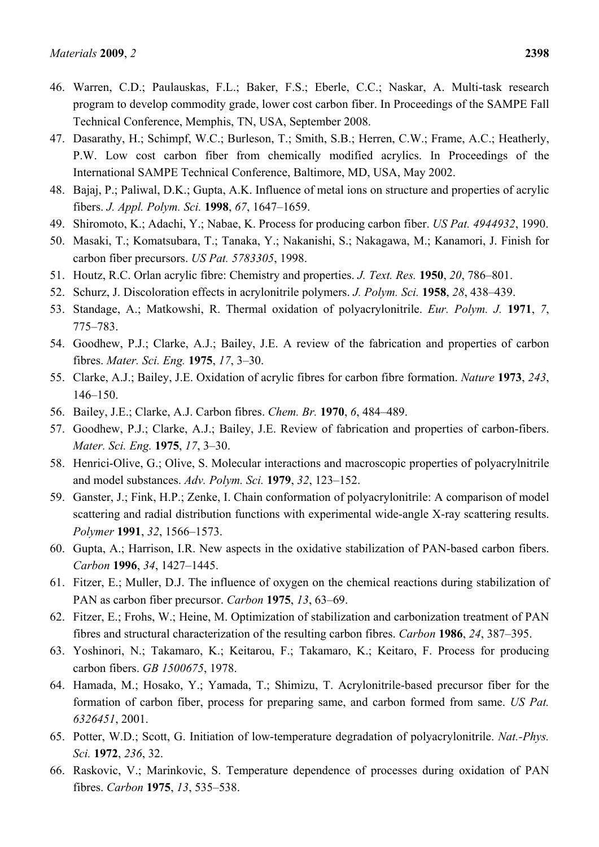- 46. Warren, C.D.; Paulauskas, F.L.; Baker, F.S.; Eberle, C.C.; Naskar, A. Multi-task research program to develop commodity grade, lower cost carbon fiber. In Proceedings of the SAMPE Fall Technical Conference, Memphis, TN, USA, September 2008.
- 47. Dasarathy, H.; Schimpf, W.C.; Burleson, T.; Smith, S.B.; Herren, C.W.; Frame, A.C.; Heatherly, P.W. Low cost carbon fiber from chemically modified acrylics. In Proceedings of the International SAMPE Technical Conference, Baltimore, MD, USA, May 2002.
- 48. Bajaj, P.; Paliwal, D.K.; Gupta, A.K. Influence of metal ions on structure and properties of acrylic fibers. *J. Appl. Polym. Sci.* **1998**, *67*, 1647–1659.
- 49. Shiromoto, K.; Adachi, Y.; Nabae, K. Process for producing carbon fiber. *US Pat. 4944932*, 1990.
- 50. Masaki, T.; Komatsubara, T.; Tanaka, Y.; Nakanishi, S.; Nakagawa, M.; Kanamori, J. Finish for carbon fiber precursors. *US Pat. 5783305*, 1998.
- 51. Houtz, R.C. Orlan acrylic fibre: Chemistry and properties. *J. Text. Res.* **1950**, *20*, 786–801.
- 52. Schurz, J. Discoloration effects in acrylonitrile polymers. *J. Polym. Sci.* **1958**, *28*, 438–439.
- 53. Standage, A.; Matkowshi, R. Thermal oxidation of polyacrylonitrile. *Eur. Polym. J.* **1971**, *7*, 775–783.
- 54. Goodhew, P.J.; Clarke, A.J.; Bailey, J.E. A review of the fabrication and properties of carbon fibres. *Mater. Sci. Eng.* **1975**, *17*, 3–30.
- 55. Clarke, A.J.; Bailey, J.E. Oxidation of acrylic fibres for carbon fibre formation. *Nature* **1973**, *243*, 146–150.
- 56. Bailey, J.E.; Clarke, A.J. Carbon fibres. *Chem. Br.* **1970**, *6*, 484–489.
- 57. Goodhew, P.J.; Clarke, A.J.; Bailey, J.E. Review of fabrication and properties of carbon-fibers. *Mater. Sci. Eng.* **1975**, *17*, 3–30.
- 58. Henrici-Olive, G.; Olive, S. Molecular interactions and macroscopic properties of polyacrylnitrile and model substances. *Adv. Polym. Sci.* **1979**, *32*, 123–152.
- 59. Ganster, J.; Fink, H.P.; Zenke, I. Chain conformation of polyacrylonitrile: A comparison of model scattering and radial distribution functions with experimental wide-angle X-ray scattering results. *Polymer* **1991**, *32*, 1566–1573.
- 60. Gupta, A.; Harrison, I.R. New aspects in the oxidative stabilization of PAN-based carbon fibers. *Carbon* **1996**, *34*, 1427–1445.
- 61. Fitzer, E.; Muller, D.J. The influence of oxygen on the chemical reactions during stabilization of PAN as carbon fiber precursor. *Carbon* **1975**, *13*, 63–69.
- 62. Fitzer, E.; Frohs, W.; Heine, M. Optimization of stabilization and carbonization treatment of PAN fibres and structural characterization of the resulting carbon fibres. *Carbon* **1986**, *24*, 387–395.
- 63. Yoshinori, N.; Takamaro, K.; Keitarou, F.; Takamaro, K.; Keitaro, F. Process for producing carbon fibers. *GB 1500675*, 1978.
- 64. Hamada, M.; Hosako, Y.; Yamada, T.; Shimizu, T. Acrylonitrile-based precursor fiber for the formation of carbon fiber, process for preparing same, and carbon formed from same. *US Pat. 6326451*, 2001.
- 65. Potter, W.D.; Scott, G. Initiation of low-temperature degradation of polyacrylonitrile. *Nat.-Phys. Sci.* **1972**, *236*, 32.
- 66. Raskovic, V.; Marinkovic, S. Temperature dependence of processes during oxidation of PAN fibres. *Carbon* **1975**, *13*, 535–538.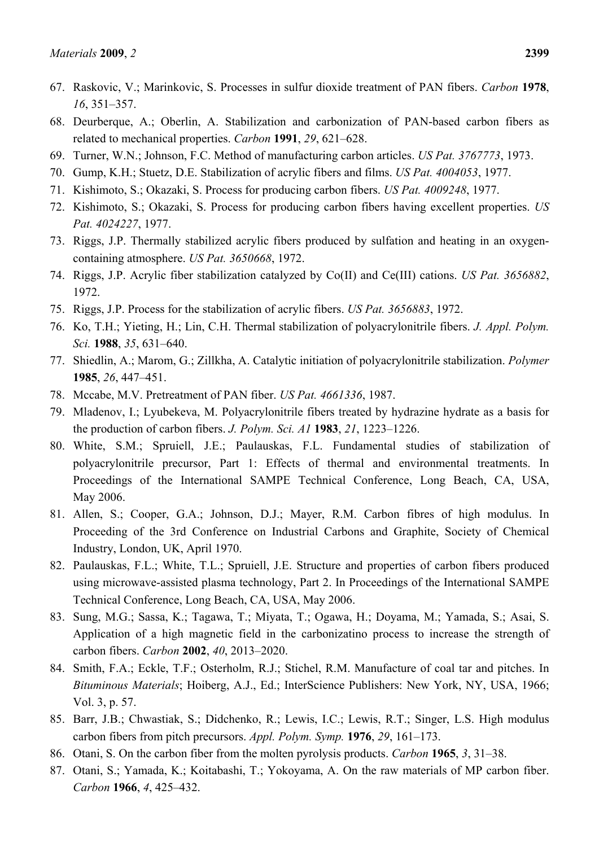- 67. Raskovic, V.; Marinkovic, S. Processes in sulfur dioxide treatment of PAN fibers. *Carbon* **1978**, *16*, 351–357.
- 68. Deurberque, A.; Oberlin, A. Stabilization and carbonization of PAN-based carbon fibers as related to mechanical properties. *Carbon* **1991**, *29*, 621–628.
- 69. Turner, W.N.; Johnson, F.C. Method of manufacturing carbon articles. *US Pat. 3767773*, 1973.
- 70. Gump, K.H.; Stuetz, D.E. Stabilization of acrylic fibers and films. *US Pat. 4004053*, 1977.
- 71. Kishimoto, S.; Okazaki, S. Process for producing carbon fibers. *US Pat. 4009248*, 1977.
- 72. Kishimoto, S.; Okazaki, S. Process for producing carbon fibers having excellent properties. *US Pat. 4024227*, 1977.
- 73. Riggs, J.P. Thermally stabilized acrylic fibers produced by sulfation and heating in an oxygencontaining atmosphere. *US Pat. 3650668*, 1972.
- 74. Riggs, J.P. Acrylic fiber stabilization catalyzed by Co(II) and Ce(III) cations. *US Pat. 3656882*, 1972.
- 75. Riggs, J.P. Process for the stabilization of acrylic fibers. *US Pat. 3656883*, 1972.
- 76. Ko, T.H.; Yieting, H.; Lin, C.H. Thermal stabilization of polyacrylonitrile fibers. *J. Appl. Polym. Sci.* **1988**, *35*, 631–640.
- 77. Shiedlin, A.; Marom, G.; Zillkha, A. Catalytic initiation of polyacrylonitrile stabilization. *Polymer* **1985**, *26*, 447–451.
- 78. Mccabe, M.V. Pretreatment of PAN fiber. *US Pat. 4661336*, 1987.
- 79. Mladenov, I.; Lyubekeva, M. Polyacrylonitrile fibers treated by hydrazine hydrate as a basis for the production of carbon fibers. *J. Polym. Sci. A1* **1983**, *21*, 1223–1226.
- 80. White, S.M.; Spruiell, J.E.; Paulauskas, F.L. Fundamental studies of stabilization of polyacrylonitrile precursor, Part 1: Effects of thermal and environmental treatments. In Proceedings of the International SAMPE Technical Conference, Long Beach, CA, USA, May 2006.
- 81. Allen, S.; Cooper, G.A.; Johnson, D.J.; Mayer, R.M. Carbon fibres of high modulus. In Proceeding of the 3rd Conference on Industrial Carbons and Graphite, Society of Chemical Industry, London, UK, April 1970.
- 82. Paulauskas, F.L.; White, T.L.; Spruiell, J.E. Structure and properties of carbon fibers produced using microwave-assisted plasma technology, Part 2. In Proceedings of the International SAMPE Technical Conference, Long Beach, CA, USA, May 2006.
- 83. Sung, M.G.; Sassa, K.; Tagawa, T.; Miyata, T.; Ogawa, H.; Doyama, M.; Yamada, S.; Asai, S. Application of a high magnetic field in the carbonizatino process to increase the strength of carbon fibers. *Carbon* **2002**, *40*, 2013–2020.
- 84. Smith, F.A.; Eckle, T.F.; Osterholm, R.J.; Stichel, R.M. Manufacture of coal tar and pitches. In *Bituminous Materials*; Hoiberg, A.J., Ed.; InterScience Publishers: New York, NY, USA, 1966; Vol. 3, p. 57.
- 85. Barr, J.B.; Chwastiak, S.; Didchenko, R.; Lewis, I.C.; Lewis, R.T.; Singer, L.S. High modulus carbon fibers from pitch precursors. *Appl. Polym. Symp.* **1976**, *29*, 161–173.
- 86. Otani, S. On the carbon fiber from the molten pyrolysis products. *Carbon* **1965**, *3*, 31–38.
- 87. Otani, S.; Yamada, K.; Koitabashi, T.; Yokoyama, A. On the raw materials of MP carbon fiber. *Carbon* **1966**, *4*, 425–432.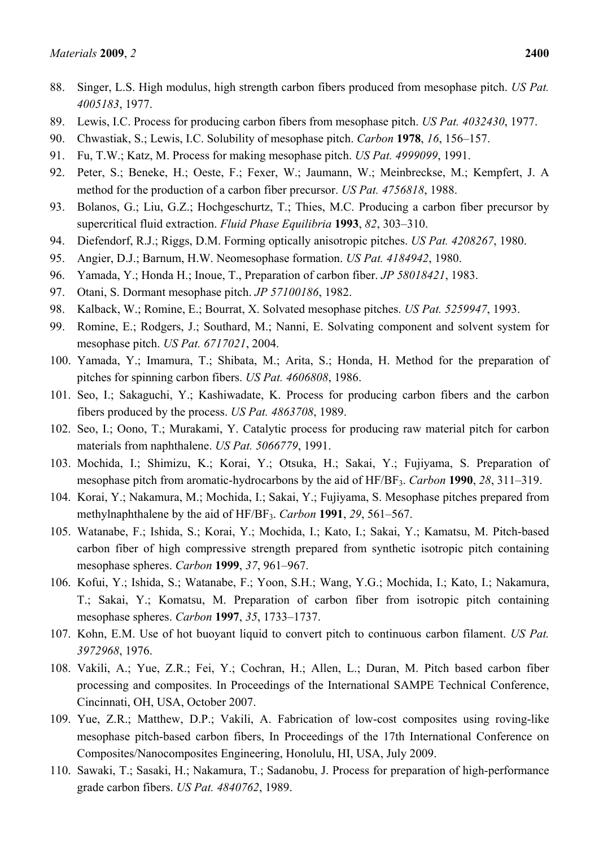- 88. Singer, L.S. High modulus, high strength carbon fibers produced from mesophase pitch. *US Pat. 4005183*, 1977.
- 89. Lewis, I.C. Process for producing carbon fibers from mesophase pitch. *US Pat. 4032430*, 1977.
- 90. Chwastiak, S.; Lewis, I.C. Solubility of mesophase pitch. *Carbon* **1978**, *16*, 156–157.
- 91. Fu, T.W.; Katz, M. Process for making mesophase pitch. *US Pat. 4999099*, 1991.
- 92. Peter, S.; Beneke, H.; Oeste, F.; Fexer, W.; Jaumann, W.; Meinbreckse, M.; Kempfert, J. A method for the production of a carbon fiber precursor. *US Pat. 4756818*, 1988.
- 93. Bolanos, G.; Liu, G.Z.; Hochgeschurtz, T.; Thies, M.C. Producing a carbon fiber precursor by supercritical fluid extraction. *Fluid Phase Equilibria* **1993**, *82*, 303–310.
- 94. Diefendorf, R.J.; Riggs, D.M. Forming optically anisotropic pitches. *US Pat. 4208267*, 1980.
- 95. Angier, D.J.; Barnum, H.W. Neomesophase formation. *US Pat. 4184942*, 1980.
- 96. Yamada, Y.; Honda H.; Inoue, T., Preparation of carbon fiber. *JP 58018421*, 1983.
- 97. Otani, S. Dormant mesophase pitch. *JP 57100186*, 1982.
- 98. Kalback, W.; Romine, E.; Bourrat, X. Solvated mesophase pitches. *US Pat. 5259947*, 1993.
- 99. Romine, E.; Rodgers, J.; Southard, M.; Nanni, E. Solvating component and solvent system for mesophase pitch. *US Pat. 6717021*, 2004.
- 100. Yamada, Y.; Imamura, T.; Shibata, M.; Arita, S.; Honda, H. Method for the preparation of pitches for spinning carbon fibers. *US Pat. 4606808*, 1986.
- 101. Seo, I.; Sakaguchi, Y.; Kashiwadate, K. Process for producing carbon fibers and the carbon fibers produced by the process. *US Pat. 4863708*, 1989.
- 102. Seo, I.; Oono, T.; Murakami, Y. Catalytic process for producing raw material pitch for carbon materials from naphthalene. *US Pat. 5066779*, 1991.
- 103. Mochida, I.; Shimizu, K.; Korai, Y.; Otsuka, H.; Sakai, Y.; Fujiyama, S. Preparation of mesophase pitch from aromatic-hydrocarbons by the aid of HF/BF<sub>3</sub>. *Carbon* 1990, 28, 311–319.
- 104. Korai, Y.; Nakamura, M.; Mochida, I.; Sakai, Y.; Fujiyama, S. Mesophase pitches prepared from methylnaphthalene by the aid of HF/BF3. *Carbon* **1991**, *29*, 561–567.
- 105. Watanabe, F.; Ishida, S.; Korai, Y.; Mochida, I.; Kato, I.; Sakai, Y.; Kamatsu, M. Pitch-based carbon fiber of high compressive strength prepared from synthetic isotropic pitch containing mesophase spheres. *Carbon* **1999**, *37*, 961–967.
- 106. Kofui, Y.; Ishida, S.; Watanabe, F.; Yoon, S.H.; Wang, Y.G.; Mochida, I.; Kato, I.; Nakamura, T.; Sakai, Y.; Komatsu, M. Preparation of carbon fiber from isotropic pitch containing mesophase spheres. *Carbon* **1997**, *35*, 1733–1737.
- 107. Kohn, E.M. Use of hot buoyant liquid to convert pitch to continuous carbon filament. *US Pat. 3972968*, 1976.
- 108. Vakili, A.; Yue, Z.R.; Fei, Y.; Cochran, H.; Allen, L.; Duran, M. Pitch based carbon fiber processing and composites. In Proceedings of the International SAMPE Technical Conference, Cincinnati, OH, USA, October 2007.
- 109. Yue, Z.R.; Matthew, D.P.; Vakili, A. Fabrication of low-cost composites using roving-like mesophase pitch-based carbon fibers, In Proceedings of the 17th International Conference on Composites/Nanocomposites Engineering, Honolulu, HI, USA, July 2009.
- 110. Sawaki, T.; Sasaki, H.; Nakamura, T.; Sadanobu, J. Process for preparation of high-performance grade carbon fibers. *US Pat. 4840762*, 1989.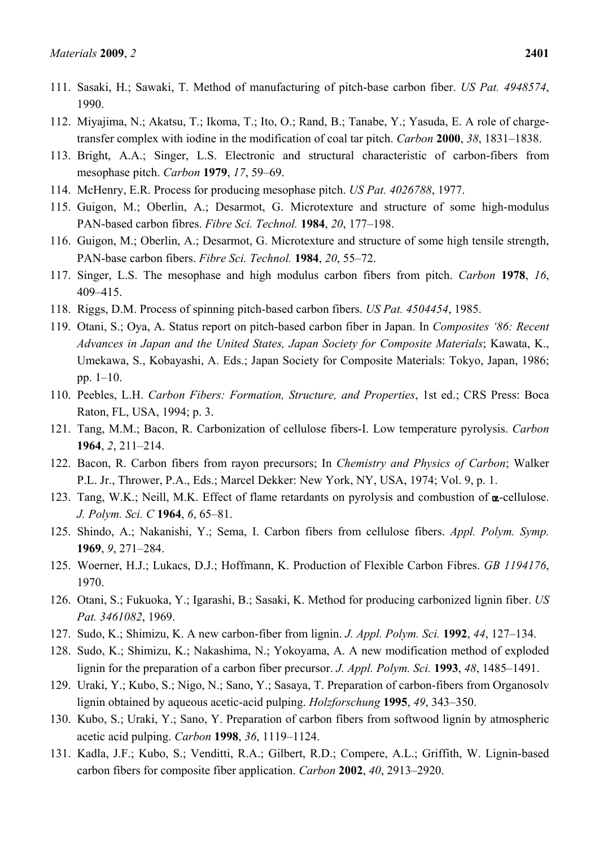- 111. Sasaki, H.; Sawaki, T. Method of manufacturing of pitch-base carbon fiber. *US Pat. 4948574*, 1990.
- 112. Miyajima, N.; Akatsu, T.; Ikoma, T.; Ito, O.; Rand, B.; Tanabe, Y.; Yasuda, E. A role of chargetransfer complex with iodine in the modification of coal tar pitch. *Carbon* **2000**, *38*, 1831–1838.
- 113. Bright, A.A.; Singer, L.S. Electronic and structural characteristic of carbon-fibers from mesophase pitch. *Carbon* **1979**, *17*, 59–69.
- 114. McHenry, E.R. Process for producing mesophase pitch. *US Pat. 4026788*, 1977.
- 115. Guigon, M.; Oberlin, A.; Desarmot, G. Microtexture and structure of some high-modulus PAN-based carbon fibres. *Fibre Sci. Technol.* **1984**, *20*, 177–198.
- 116. Guigon, M.; Oberlin, A.; Desarmot, G. Microtexture and structure of some high tensile strength, PAN-base carbon fibers. *Fibre Sci. Technol.* **1984**, *20*, 55–72.
- 117. Singer, L.S. The mesophase and high modulus carbon fibers from pitch. *Carbon* **1978**, *16*, 409–415.
- 118. Riggs, D.M. Process of spinning pitch-based carbon fibers. *US Pat. 4504454*, 1985.
- 119. Otani, S.; Oya, A. Status report on pitch-based carbon fiber in Japan. In *Composites '86: Recent Advances in Japan and the United States, Japan Society for Composite Materials*; Kawata, K., Umekawa, S., Kobayashi, A. Eds.; Japan Society for Composite Materials: Tokyo, Japan, 1986; pp. 1–10.
- 110. Peebles, L.H. *Carbon Fibers: Formation, Structure, and Properties*, 1st ed.; CRS Press: Boca Raton, FL, USA, 1994; p. 3.
- 121. Tang, M.M.; Bacon, R. Carbonization of cellulose fibers-I. Low temperature pyrolysis. *Carbon* **1964**, *2*, 211–214.
- 122. Bacon, R. Carbon fibers from rayon precursors; In *Chemistry and Physics of Carbon*; Walker P.L. Jr., Thrower, P.A., Eds.; Marcel Dekker: New York, NY, USA, 1974; Vol. 9, p. 1.
- 123. Tang, W.K.; Neill, M.K. Effect of flame retardants on pyrolysis and combustion of  $\alpha$ -cellulose. *J. Polym. Sci. C* **1964**, *6*, 65–81.
- 125. Shindo, A.; Nakanishi, Y.; Sema, I. Carbon fibers from cellulose fibers. *Appl. Polym. Symp.* **1969**, *9*, 271–284.
- 125. Woerner, H.J.; Lukacs, D.J.; Hoffmann, K. Production of Flexible Carbon Fibres. *GB 1194176*, 1970.
- 126. Otani, S.; Fukuoka, Y.; Igarashi, B.; Sasaki, K. Method for producing carbonized lignin fiber. *US Pat. 3461082*, 1969.
- 127. Sudo, K.; Shimizu, K. A new carbon-fiber from lignin. *J. Appl. Polym. Sci.* **1992**, *44*, 127–134.
- 128. Sudo, K.; Shimizu, K.; Nakashima, N.; Yokoyama, A. A new modification method of exploded lignin for the preparation of a carbon fiber precursor. *J. Appl. Polym. Sci.* **1993**, *48*, 1485–1491.
- 129. Uraki, Y.; Kubo, S.; Nigo, N.; Sano, Y.; Sasaya, T. Preparation of carbon-fibers from Organosolv lignin obtained by aqueous acetic-acid pulping. *Holzforschung* **1995**, *49*, 343–350.
- 130. Kubo, S.; Uraki, Y.; Sano, Y. Preparation of carbon fibers from softwood lignin by atmospheric acetic acid pulping. *Carbon* **1998**, *36*, 1119–1124.
- 131. Kadla, J.F.; Kubo, S.; Venditti, R.A.; Gilbert, R.D.; Compere, A.L.; Griffith, W. Lignin-based carbon fibers for composite fiber application. *Carbon* **2002**, *40*, 2913–2920.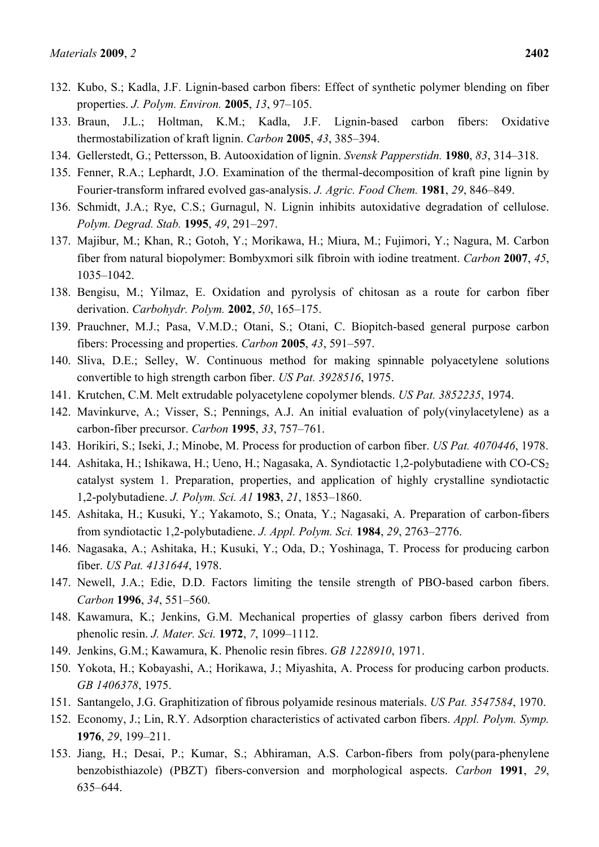- 132. Kubo, S.; Kadla, J.F. Lignin-based carbon fibers: Effect of synthetic polymer blending on fiber properties. *J. Polym. Environ.* **2005**, *13*, 97–105.
- 133. Braun, J.L.; Holtman, K.M.; Kadla, J.F. Lignin-based carbon fibers: Oxidative thermostabilization of kraft lignin. *Carbon* **2005**, *43*, 385–394.
- 134. Gellerstedt, G.; Pettersson, B. Autooxidation of lignin. *Svensk Papperstidn.* **1980**, *83*, 314–318.
- 135. Fenner, R.A.; Lephardt, J.O. Examination of the thermal-decomposition of kraft pine lignin by Fourier-transform infrared evolved gas-analysis. *J. Agric. Food Chem.* **1981**, *29*, 846–849.
- 136. Schmidt, J.A.; Rye, C.S.; Gurnagul, N. Lignin inhibits autoxidative degradation of cellulose. *Polym. Degrad. Stab.* **1995**, *49*, 291–297.
- 137. Majibur, M.; Khan, R.; Gotoh, Y.; Morikawa, H.; Miura, M.; Fujimori, Y.; Nagura, M. Carbon fiber from natural biopolymer: Bombyxmori silk fibroin with iodine treatment. *Carbon* **2007**, *45*, 1035–1042.
- 138. Bengisu, M.; Yilmaz, E. Oxidation and pyrolysis of chitosan as a route for carbon fiber derivation. *Carbohydr. Polym.* **2002**, *50*, 165–175.
- 139. Prauchner, M.J.; Pasa, V.M.D.; Otani, S.; Otani, C. Biopitch-based general purpose carbon fibers: Processing and properties. *Carbon* **2005**, *43*, 591–597.
- 140. Sliva, D.E.; Selley, W. Continuous method for making spinnable polyacetylene solutions convertible to high strength carbon fiber. *US Pat. 3928516*, 1975.
- 141. Krutchen, C.M. Melt extrudable polyacetylene copolymer blends. *US Pat. 3852235*, 1974.
- 142. Mavinkurve, A.; Visser, S.; Pennings, A.J. An initial evaluation of poly(vinylacetylene) as a carbon-fiber precursor. *Carbon* **1995**, *33*, 757–761.
- 143. Horikiri, S.; Iseki, J.; Minobe, M. Process for production of carbon fiber. *US Pat. 4070446*, 1978.
- 144. Ashitaka, H.; Ishikawa, H.; Ueno, H.; Nagasaka, A. Syndiotactic 1,2-polybutadiene with CO-CS<sub>2</sub> catalyst system 1. Preparation, properties, and application of highly crystalline syndiotactic 1,2-polybutadiene. *J. Polym. Sci. A1* **1983**, *21*, 1853–1860.
- 145. Ashitaka, H.; Kusuki, Y.; Yakamoto, S.; Onata, Y.; Nagasaki, A. Preparation of carbon-fibers from syndiotactic 1,2-polybutadiene. *J. Appl. Polym. Sci.* **1984**, *29*, 2763–2776.
- 146. Nagasaka, A.; Ashitaka, H.; Kusuki, Y.; Oda, D.; Yoshinaga, T. Process for producing carbon fiber. *US Pat. 4131644*, 1978.
- 147. Newell, J.A.; Edie, D.D. Factors limiting the tensile strength of PBO-based carbon fibers. *Carbon* **1996**, *34*, 551–560.
- 148. Kawamura, K.; Jenkins, G.M. Mechanical properties of glassy carbon fibers derived from phenolic resin. *J. Mater. Sci.* **1972**, *7*, 1099–1112.
- 149. Jenkins, G.M.; Kawamura, K. Phenolic resin fibres. *GB 1228910*, 1971.
- 150. Yokota, H.; Kobayashi, A.; Horikawa, J.; Miyashita, A. Process for producing carbon products. *GB 1406378*, 1975.
- 151. Santangelo, J.G. Graphitization of fibrous polyamide resinous materials. *US Pat. 3547584*, 1970.
- 152. Economy, J.; Lin, R.Y. Adsorption characteristics of activated carbon fibers. *Appl. Polym. Symp.* **1976**, *29*, 199–211.
- 153. Jiang, H.; Desai, P.; Kumar, S.; Abhiraman, A.S. Carbon-fibers from poly(para-phenylene benzobisthiazole) (PBZT) fibers-conversion and morphological aspects. *Carbon* **1991**, *29*, 635–644.